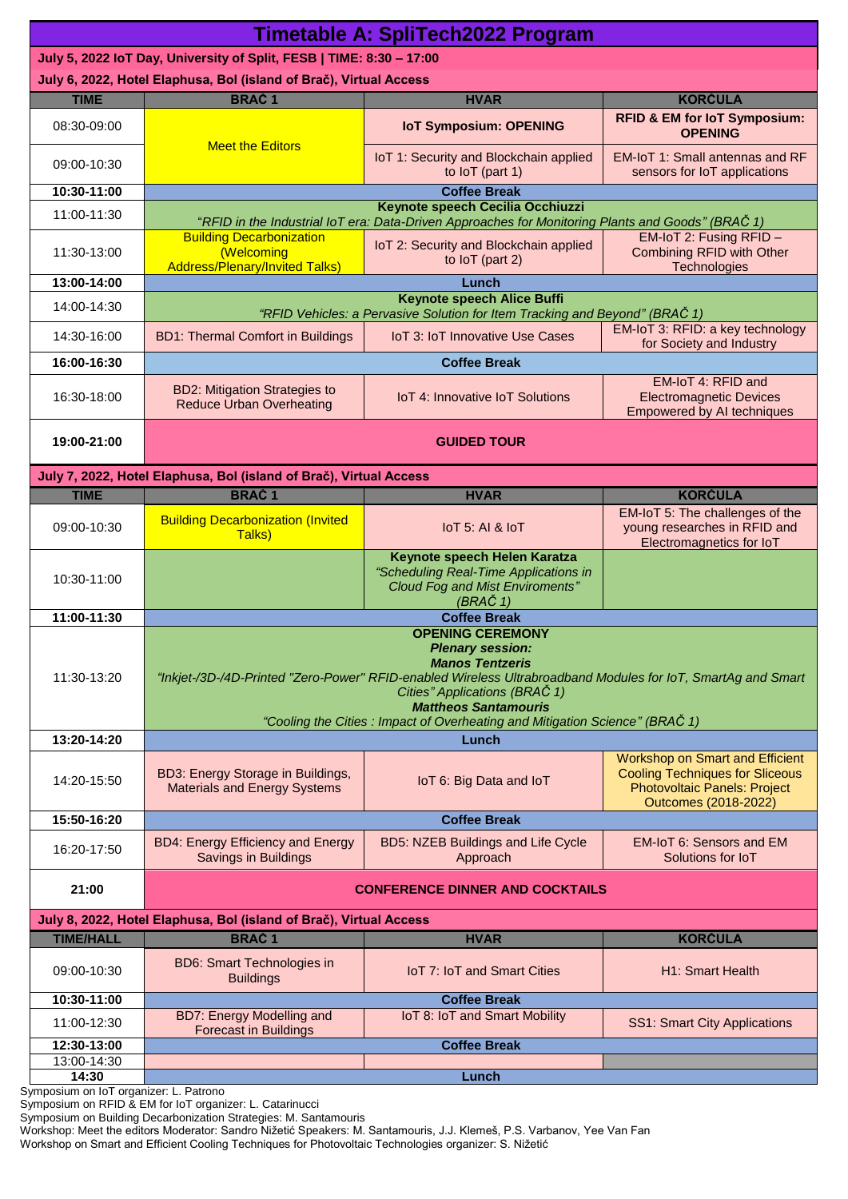| <b>Timetable A: SpliTech2022 Program</b>                             |                                                                                                                                                                                                                                                                                                                                             |                                                           |                                                                                                                                          |  |  |  |  |
|----------------------------------------------------------------------|---------------------------------------------------------------------------------------------------------------------------------------------------------------------------------------------------------------------------------------------------------------------------------------------------------------------------------------------|-----------------------------------------------------------|------------------------------------------------------------------------------------------------------------------------------------------|--|--|--|--|
| July 5, 2022 IoT Day, University of Split, FESB   TIME: 8:30 - 17:00 |                                                                                                                                                                                                                                                                                                                                             |                                                           |                                                                                                                                          |  |  |  |  |
| July 6, 2022, Hotel Elaphusa, Bol (island of Brač), Virtual Access   |                                                                                                                                                                                                                                                                                                                                             |                                                           |                                                                                                                                          |  |  |  |  |
| <b>TIME</b>                                                          | <b>BRAC1</b>                                                                                                                                                                                                                                                                                                                                | <b>HVAR</b>                                               | <b>KORČULA</b>                                                                                                                           |  |  |  |  |
| 08:30-09:00                                                          | <b>Meet the Editors</b>                                                                                                                                                                                                                                                                                                                     | <b>IoT Symposium: OPENING</b>                             | <b>RFID &amp; EM for loT Symposium:</b><br><b>OPENING</b>                                                                                |  |  |  |  |
| 09:00-10:30                                                          |                                                                                                                                                                                                                                                                                                                                             | IoT 1: Security and Blockchain applied<br>to loT (part 1) | <b>EM-IoT 1: Small antennas and RF</b><br>sensors for IoT applications                                                                   |  |  |  |  |
| 10:30-11:00                                                          | <b>Coffee Break</b>                                                                                                                                                                                                                                                                                                                         |                                                           |                                                                                                                                          |  |  |  |  |
| 11:00-11:30                                                          | Keynote speech Cecilia Occhiuzzi<br>"RFID in the Industrial IoT era: Data-Driven Approaches for Monitoring Plants and Goods" (BRAČ 1)<br>EM-IoT 2: Fusing RFID -<br><b>Building Decarbonization</b>                                                                                                                                         |                                                           |                                                                                                                                          |  |  |  |  |
| 11:30-13:00                                                          | (Welcoming<br><b>Address/Plenary/Invited Talks)</b>                                                                                                                                                                                                                                                                                         | IoT 2: Security and Blockchain applied<br>to loT (part 2) | Combining RFID with Other<br>Technologies                                                                                                |  |  |  |  |
| 13:00-14:00                                                          | Lunch                                                                                                                                                                                                                                                                                                                                       |                                                           |                                                                                                                                          |  |  |  |  |
| 14:00-14:30                                                          | <b>Keynote speech Alice Buffi</b><br>"RFID Vehicles: a Pervasive Solution for Item Tracking and Beyond" (BRAČ 1)                                                                                                                                                                                                                            |                                                           |                                                                                                                                          |  |  |  |  |
| 14:30-16:00                                                          | <b>BD1: Thermal Comfort in Buildings</b>                                                                                                                                                                                                                                                                                                    | IoT 3: IoT Innovative Use Cases                           | EM-IoT 3: RFID: a key technology<br>for Society and Industry                                                                             |  |  |  |  |
| 16:00-16:30                                                          | <b>Coffee Break</b>                                                                                                                                                                                                                                                                                                                         |                                                           |                                                                                                                                          |  |  |  |  |
| 16:30-18:00                                                          | <b>BD2: Mitigation Strategies to</b><br><b>Reduce Urban Overheating</b>                                                                                                                                                                                                                                                                     | <b>IoT 4: Innovative IoT Solutions</b>                    | EM-IoT 4: RFID and<br><b>Electromagnetic Devices</b><br><b>Empowered by AI techniques</b>                                                |  |  |  |  |
| 19:00-21:00                                                          | <b>GUIDED TOUR</b>                                                                                                                                                                                                                                                                                                                          |                                                           |                                                                                                                                          |  |  |  |  |
| July 7, 2022, Hotel Elaphusa, Bol (island of Brač), Virtual Access   |                                                                                                                                                                                                                                                                                                                                             |                                                           |                                                                                                                                          |  |  |  |  |
| <b>TIME</b>                                                          | <b>BRAČ1</b>                                                                                                                                                                                                                                                                                                                                | <b>HVAR</b>                                               | <b>KORČULA</b>                                                                                                                           |  |  |  |  |
| 09:00-10:30                                                          | <b>Building Decarbonization (Invited</b><br>Talks)                                                                                                                                                                                                                                                                                          | IoT 5: AI & IoT                                           | EM-IoT 5: The challenges of the<br>young researches in RFID and<br>Electromagnetics for IoT                                              |  |  |  |  |
| 10:30-11:00                                                          | Keynote speech Helen Karatza<br>"Scheduling Real-Time Applications in<br><b>Cloud Fog and Mist Enviroments"</b><br>(BRAČ 1)                                                                                                                                                                                                                 |                                                           |                                                                                                                                          |  |  |  |  |
| 11:00-11:30                                                          | <b>Coffee Break</b>                                                                                                                                                                                                                                                                                                                         |                                                           |                                                                                                                                          |  |  |  |  |
| 11:30-13:20                                                          | <b>OPENING CEREMONY</b><br><b>Plenary session:</b><br><b>Manos Tentzeris</b><br>"Inkjet-/3D-/4D-Printed "Zero-Power" RFID-enabled Wireless Ultrabroadband Modules for IoT, SmartAg and Smart<br>Cities" Applications (BRAČ 1)<br><b>Mattheos Santamouris</b><br>"Cooling the Cities: Impact of Overheating and Mitigation Science" (BRAČ 1) |                                                           |                                                                                                                                          |  |  |  |  |
| 13:20-14:20                                                          | Lunch                                                                                                                                                                                                                                                                                                                                       |                                                           |                                                                                                                                          |  |  |  |  |
| 14:20-15:50                                                          | BD3: Energy Storage in Buildings,<br><b>Materials and Energy Systems</b>                                                                                                                                                                                                                                                                    | IoT 6: Big Data and IoT                                   | <b>Workshop on Smart and Efficient</b><br><b>Cooling Techniques for Sliceous</b><br>Photovoltaic Panels: Project<br>Outcomes (2018-2022) |  |  |  |  |
| 15:50-16:20                                                          | <b>Coffee Break</b>                                                                                                                                                                                                                                                                                                                         |                                                           |                                                                                                                                          |  |  |  |  |
| 16:20-17:50                                                          | <b>BD4: Energy Efficiency and Energy</b><br>Savings in Buildings                                                                                                                                                                                                                                                                            | <b>BD5: NZEB Buildings and Life Cycle</b><br>Approach     | <b>EM-IoT 6: Sensors and EM</b><br>Solutions for IoT                                                                                     |  |  |  |  |
| 21:00                                                                | <b>CONFERENCE DINNER AND COCKTAILS</b>                                                                                                                                                                                                                                                                                                      |                                                           |                                                                                                                                          |  |  |  |  |
| July 8, 2022, Hotel Elaphusa, Bol (island of Brač), Virtual Access   |                                                                                                                                                                                                                                                                                                                                             |                                                           |                                                                                                                                          |  |  |  |  |
| <b>TIME/HALL</b>                                                     | <b>BRAČ1</b>                                                                                                                                                                                                                                                                                                                                | <b>HVAR</b>                                               | <b>KORČULA</b>                                                                                                                           |  |  |  |  |
| 09:00-10:30                                                          | <b>BD6: Smart Technologies in</b><br><b>Buildings</b>                                                                                                                                                                                                                                                                                       | <b>IoT 7: IoT and Smart Cities</b>                        | H1: Smart Health                                                                                                                         |  |  |  |  |
| 10:30-11:00                                                          | <b>Coffee Break</b>                                                                                                                                                                                                                                                                                                                         |                                                           |                                                                                                                                          |  |  |  |  |
| 11:00-12:30                                                          | <b>BD7: Energy Modelling and</b><br><b>Forecast in Buildings</b>                                                                                                                                                                                                                                                                            | IoT 8: IoT and Smart Mobility                             | <b>SS1: Smart City Applications</b>                                                                                                      |  |  |  |  |
| 12:30-13:00                                                          | <b>Coffee Break</b>                                                                                                                                                                                                                                                                                                                         |                                                           |                                                                                                                                          |  |  |  |  |
| 13:00-14:30<br>14:30                                                 | Lunch                                                                                                                                                                                                                                                                                                                                       |                                                           |                                                                                                                                          |  |  |  |  |

Symposium on IoT organizer: L. Patrono

Symposium on RFID & EM for IoT organizer: L. Catarinucci

Symposium on Building Decarbonization Strategies: M. Santamouris

Workshop: Meet the editors Moderator: Sandro Nižetić Speakers: M. Santamouris, J.J. Klemeš, P.S. Varbanov, Yee Van Fan

Workshop on Smart and Efficient Cooling Techniques for Photovoltaic Technologies organizer: S. Nižetić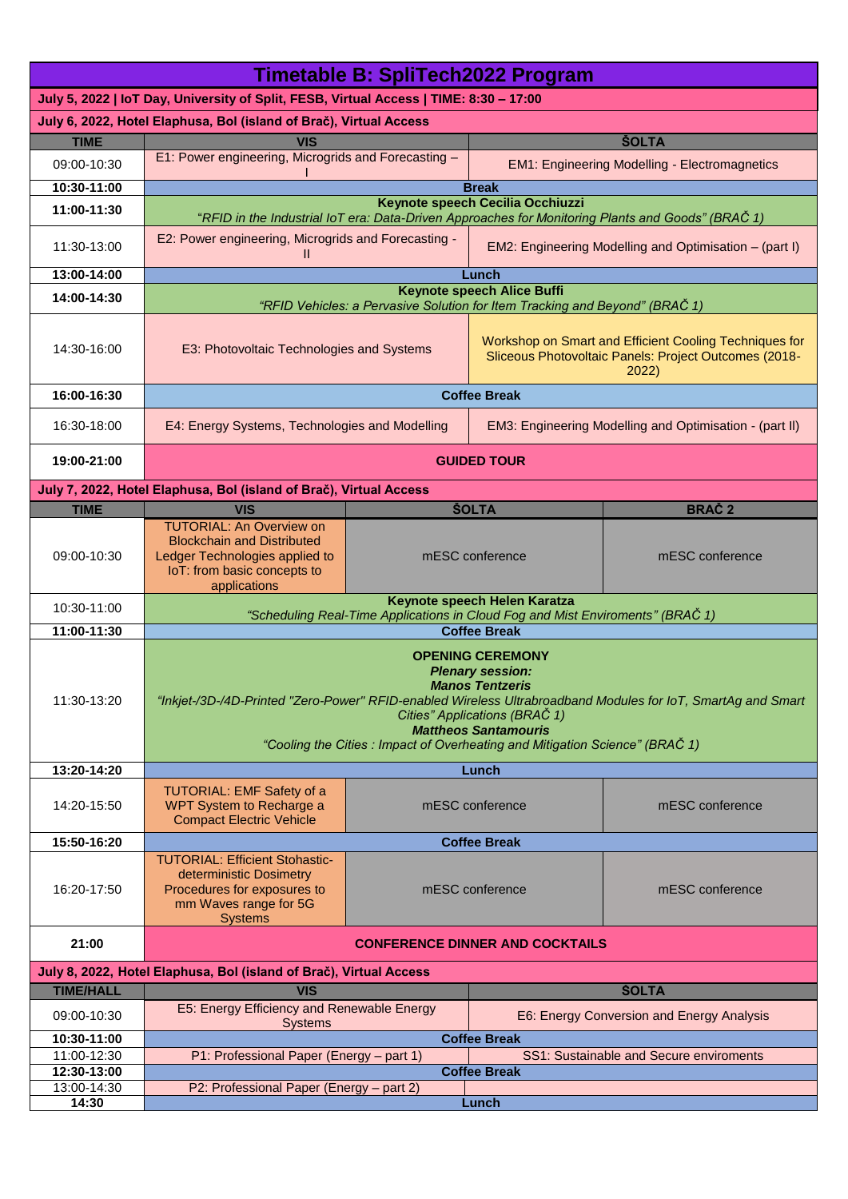| <b>Timetable B: SpliTech2022 Program</b>                                               |                                                                                                                                                                                                                                                                                                                                             |                                    |                                                                                                                         |                                                         |  |  |  |
|----------------------------------------------------------------------------------------|---------------------------------------------------------------------------------------------------------------------------------------------------------------------------------------------------------------------------------------------------------------------------------------------------------------------------------------------|------------------------------------|-------------------------------------------------------------------------------------------------------------------------|---------------------------------------------------------|--|--|--|
| July 5, 2022   IoT Day, University of Split, FESB, Virtual Access   TIME: 8:30 - 17:00 |                                                                                                                                                                                                                                                                                                                                             |                                    |                                                                                                                         |                                                         |  |  |  |
| July 6, 2022, Hotel Elaphusa, Bol (island of Brač), Virtual Access                     |                                                                                                                                                                                                                                                                                                                                             |                                    |                                                                                                                         |                                                         |  |  |  |
| <b>TIME</b>                                                                            | VIS                                                                                                                                                                                                                                                                                                                                         |                                    | <b>SOLTA</b>                                                                                                            |                                                         |  |  |  |
| 09:00-10:30<br>10:30-11:00                                                             | E1: Power engineering, Microgrids and Forecasting -                                                                                                                                                                                                                                                                                         |                                    | <b>EM1: Engineering Modelling - Electromagnetics</b>                                                                    |                                                         |  |  |  |
|                                                                                        |                                                                                                                                                                                                                                                                                                                                             |                                    | <b>Break</b><br>Keynote speech Cecilia Occhiuzzi                                                                        |                                                         |  |  |  |
| 11:00-11:30                                                                            | "RFID in the Industrial IoT era: Data-Driven Approaches for Monitoring Plants and Goods" (BRAČ 1)                                                                                                                                                                                                                                           |                                    |                                                                                                                         |                                                         |  |  |  |
| 11:30-13:00                                                                            | E2: Power engineering, Microgrids and Forecasting -<br>Ш                                                                                                                                                                                                                                                                                    |                                    | EM2: Engineering Modelling and Optimisation - (part I)                                                                  |                                                         |  |  |  |
| 13:00-14:00                                                                            | Lunch<br><b>Keynote speech Alice Buffi</b>                                                                                                                                                                                                                                                                                                  |                                    |                                                                                                                         |                                                         |  |  |  |
| 14:00-14:30                                                                            | "RFID Vehicles: a Pervasive Solution for Item Tracking and Beyond" (BRAČ 1)                                                                                                                                                                                                                                                                 |                                    |                                                                                                                         |                                                         |  |  |  |
| 14:30-16:00                                                                            | E3: Photovoltaic Technologies and Systems                                                                                                                                                                                                                                                                                                   |                                    | Workshop on Smart and Efficient Cooling Techniques for<br>Sliceous Photovoltaic Panels: Project Outcomes (2018-<br>2022 |                                                         |  |  |  |
| 16:00-16:30                                                                            | <b>Coffee Break</b>                                                                                                                                                                                                                                                                                                                         |                                    |                                                                                                                         |                                                         |  |  |  |
| 16:30-18:00                                                                            | E4: Energy Systems, Technologies and Modelling                                                                                                                                                                                                                                                                                              |                                    |                                                                                                                         | EM3: Engineering Modelling and Optimisation - (part II) |  |  |  |
| 19:00-21:00                                                                            | <b>GUIDED TOUR</b>                                                                                                                                                                                                                                                                                                                          |                                    |                                                                                                                         |                                                         |  |  |  |
|                                                                                        | July 7, 2022, Hotel Elaphusa, Bol (island of Brač), Virtual Access                                                                                                                                                                                                                                                                          |                                    |                                                                                                                         |                                                         |  |  |  |
| <b>TIME</b>                                                                            | <b>VIS</b>                                                                                                                                                                                                                                                                                                                                  |                                    | <b>SOLTA</b>                                                                                                            | <b>BRAČ2</b>                                            |  |  |  |
| 09:00-10:30                                                                            | <b>TUTORIAL: An Overview on</b><br><b>Blockchain and Distributed</b><br>Ledger Technologies applied to<br>IoT: from basic concepts to<br>applications                                                                                                                                                                                       | mESC conference                    |                                                                                                                         | mESC conference                                         |  |  |  |
| 10:30-11:00                                                                            | Keynote speech Helen Karatza                                                                                                                                                                                                                                                                                                                |                                    |                                                                                                                         |                                                         |  |  |  |
| 11:00-11:30                                                                            | "Scheduling Real-Time Applications in Cloud Fog and Mist Enviroments" (BRAČ 1)<br><b>Coffee Break</b>                                                                                                                                                                                                                                       |                                    |                                                                                                                         |                                                         |  |  |  |
| 11:30-13:20                                                                            | <b>OPENING CEREMONY</b><br><b>Plenary session:</b><br><b>Manos Tentzeris</b><br>"Inkjet-/3D-/4D-Printed "Zero-Power" RFID-enabled Wireless Ultrabroadband Modules for IoT, SmartAg and Smart<br>Cities" Applications (BRAČ 1)<br><b>Mattheos Santamouris</b><br>"Cooling the Cities: Impact of Overheating and Mitigation Science" (BRAČ 1) |                                    |                                                                                                                         |                                                         |  |  |  |
| 13:20-14:20                                                                            | Lunch                                                                                                                                                                                                                                                                                                                                       |                                    |                                                                                                                         |                                                         |  |  |  |
| 14:20-15:50                                                                            | <b>TUTORIAL: EMF Safety of a</b><br>WPT System to Recharge a<br><b>Compact Electric Vehicle</b>                                                                                                                                                                                                                                             | mESC conference<br>mESC conference |                                                                                                                         |                                                         |  |  |  |
| 15:50-16:20                                                                            | <b>Coffee Break</b>                                                                                                                                                                                                                                                                                                                         |                                    |                                                                                                                         |                                                         |  |  |  |
| 16:20-17:50                                                                            | <b>TUTORIAL: Efficient Stohastic-</b><br>deterministic Dosimetry<br>Procedures for exposures to<br>mm Waves range for 5G<br><b>Systems</b>                                                                                                                                                                                                  | mESC conference<br>mESC conference |                                                                                                                         |                                                         |  |  |  |
| 21:00                                                                                  | <b>CONFERENCE DINNER AND COCKTAILS</b>                                                                                                                                                                                                                                                                                                      |                                    |                                                                                                                         |                                                         |  |  |  |
|                                                                                        | July 8, 2022, Hotel Elaphusa, Bol (island of Brač), Virtual Access                                                                                                                                                                                                                                                                          |                                    |                                                                                                                         |                                                         |  |  |  |
| <b>TIME/HALL</b><br>09:00-10:30                                                        | <b>VIS</b><br>E5: Energy Efficiency and Renewable Energy                                                                                                                                                                                                                                                                                    |                                    | <b>ŠOLTA</b><br>E6: Energy Conversion and Energy Analysis                                                               |                                                         |  |  |  |
| 10:30-11:00                                                                            | <b>Systems</b>                                                                                                                                                                                                                                                                                                                              |                                    | <b>Coffee Break</b>                                                                                                     |                                                         |  |  |  |
| 11:00-12:30                                                                            | P1: Professional Paper (Energy - part 1)                                                                                                                                                                                                                                                                                                    |                                    | SS1: Sustainable and Secure enviroments                                                                                 |                                                         |  |  |  |
| 12:30-13:00                                                                            | <b>Coffee Break</b>                                                                                                                                                                                                                                                                                                                         |                                    |                                                                                                                         |                                                         |  |  |  |
| 13:00-14:30                                                                            | P2: Professional Paper (Energy - part 2)<br>Lunch                                                                                                                                                                                                                                                                                           |                                    |                                                                                                                         |                                                         |  |  |  |
| 14:30                                                                                  |                                                                                                                                                                                                                                                                                                                                             |                                    |                                                                                                                         |                                                         |  |  |  |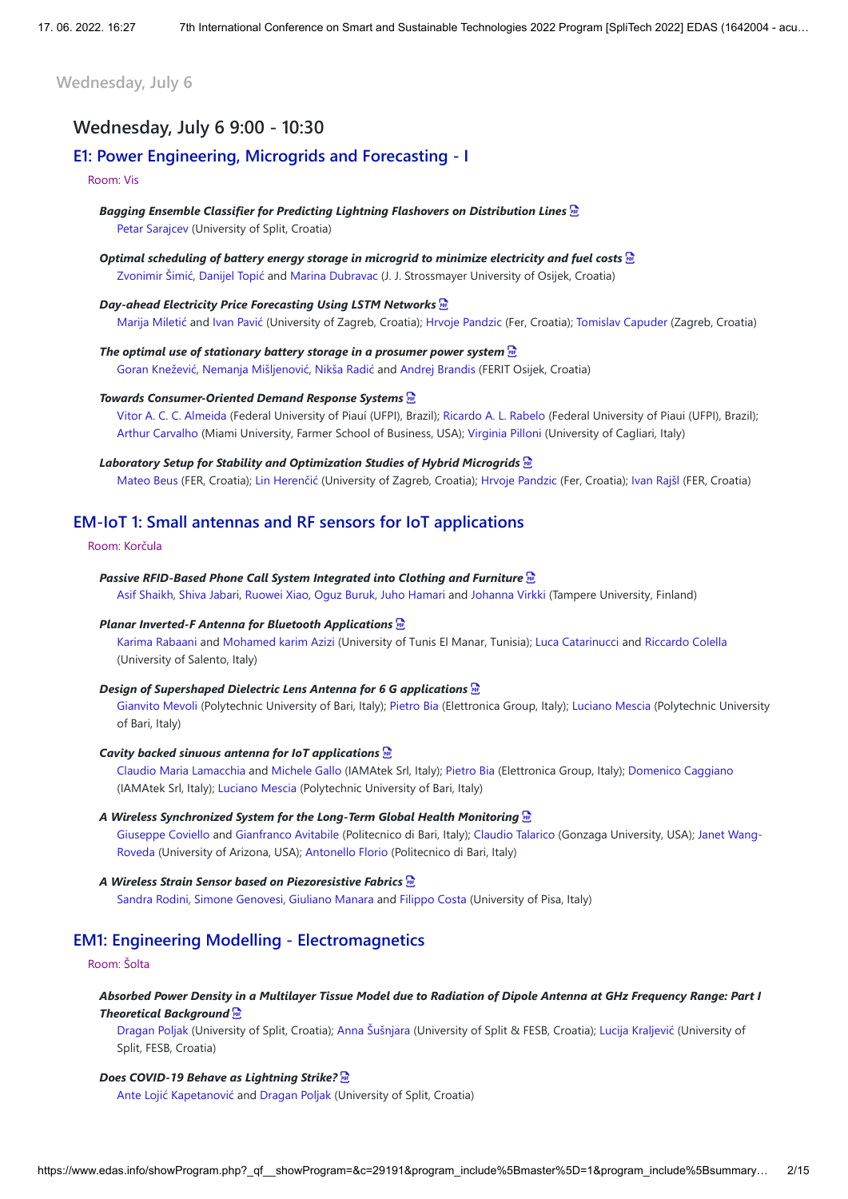**Wednesday, July 6**

# **Wednesday, July 6 9:00 - 10:30**

# **E1: Power Engineering, Microgrids and Forecasting - I**

### Room: Vis

*Bagging Ensemble Classifier for Predicting Lightning Flashovers on Distribution Lines*  Petar Sarajcev (University of Split, Croatia)

*Optimal scheduling of battery energy storage in microgrid to minimize electricity and fuel costs*  Zvonimir Šimić, Danijel Topić and Marina Dubravac (J. J. Strossmayer University of Osijek, Croatia)

*Day-ahead Electricity Price Forecasting Using LSTM Networks*  Marija Miletić and Ivan Pavić (University of Zagreb, Croatia); Hrvoje Pandzic (Fer, Croatia); Tomislav Capuder (Zagreb, Croatia)

*The optimal use of stationary battery storage in a prosumer power system*  Goran Knežević, Nemanja Mišljenović, Nikša Radić and Andrej Brandis (FERIT Osijek, Croatia)

## *Towards Consumer-Oriented Demand Response Systems*

Vitor A. C. C. Almeida (Federal University of Piauí (UFPI), Brazil); Ricardo A. L. Rabelo (Federal University of Piaui (UFPI), Brazil); Arthur Carvalho (Miami University, Farmer School of Business, USA); Virginia Pilloni (University of Cagliari, Italy)

## *Laboratory Setup for Stability and Optimization Studies of Hybrid Microgrids*

Mateo Beus (FER, Croatia); Lin Herenčić (University of Zagreb, Croatia); Hrvoje Pandzic (Fer, Croatia); Ivan Rajšl (FER, Croatia)

# **EM-IoT 1: Small antennas and RF sensors for IoT applications**

#### Room: Korčula

*Passive RFID-Based Phone Call System Integrated into Clothing and Furniture*  Asif Shaikh, Shiva Jabari, Ruowei Xiao, Oguz Buruk, Juho Hamari and Johanna Virkki (Tampere University, Finland)

#### *Planar Inverted-F Antenna for Bluetooth Applications*

Karima Rabaani and Mohamed karim Azizi (University of Tunis El Manar, Tunisia); Luca Catarinucci and Riccardo Colella (University of Salento, Italy)

#### *Design of Supershaped Dielectric Lens Antenna for 6 G applications*

Gianvito Mevoli (Polytechnic University of Bari, Italy); Pietro Bia (Elettronica Group, Italy); Luciano Mescia (Polytechnic University of Bari, Italy)

#### *Cavity backed sinuous antenna for IoT applications*

Claudio Maria Lamacchia and Michele Gallo (IAMAtek Srl, Italy); Pietro Bia (Elettronica Group, Italy); Domenico Caggiano (IAMAtek Srl, Italy); Luciano Mescia (Polytechnic University of Bari, Italy)

# *A Wireless Synchronized System for the Long-Term Global Health Monitoring*

Giuseppe Coviello and Gianfranco Avitabile (Politecnico di Bari, Italy); Claudio Talarico (Gonzaga University, USA); Janet Wang-Roveda (University of Arizona, USA); Antonello Florio (Politecnico di Bari, Italy)

# *A Wireless Strain Sensor based on Piezoresistive Fabrics*

Sandra Rodini, Simone Genovesi, Giuliano Manara and Filippo Costa (University of Pisa, Italy)

# **EM1: Engineering Modelling - Electromagnetics**

### Room: Šolta

## *Absorbed Power Density in a Multilayer Tissue Model due to Radiation of Dipole Antenna at GHz Frequency Range: Part I Theoretical Background*

Dragan Poljak (University of Split, Croatia); Anna Šušnjara (University of Split & FESB, Croatia); Lucija Kraljević (University of Split, FESB, Croatia)

#### *Does COVID-19 Behave as Lightning Strike?*

Ante Lojić Kapetanović and Dragan Poljak (University of Split, Croatia)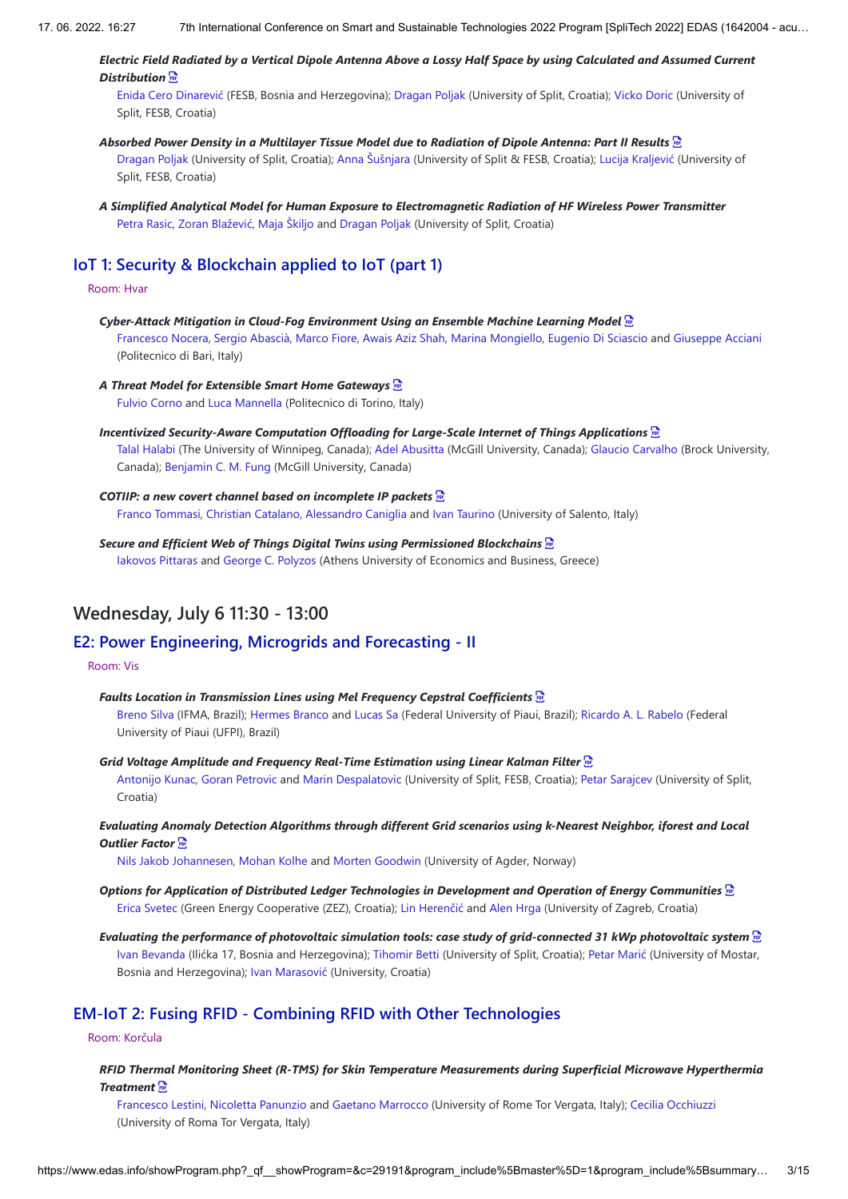## *Electric Field Radiated by a Vertical Dipole Antenna Above a Lossy Half Space by using Calculated and Assumed Current Distribution*

Enida Cero Dinarević (FESB, Bosnia and Herzegovina); Dragan Poljak (University of Split, Croatia); Vicko Doric (University of Split, FESB, Croatia)

## *Absorbed Power Density in a Multilayer Tissue Model due to Radiation of Dipole Antenna: Part II Results*  Dragan Poljak (University of Split, Croatia); Anna Šušnjara (University of Split & FESB, Croatia); Lucija Kraljević (University of Split, FESB, Croatia)

*A Simplified Analytical Model for Human Exposure to Electromagnetic Radiation of HF Wireless Power Transmitter* Petra Rasic, Zoran Blažević, Maja Škiljo and Dragan Poljak (University of Split, Croatia)

# **IoT 1: Security & Blockchain applied to IoT (part 1)**

## Room: Hvar

*Cyber-Attack Mitigation in Cloud-Fog Environment Using an Ensemble Machine Learning Model*  Francesco Nocera, Sergio Abascià, Marco Fiore, Awais Aziz Shah, Marina Mongiello, Eugenio Di Sciascio and Giuseppe Acciani (Politecnico di Bari, Italy)

## *A Threat Model for Extensible Smart Home Gateways*

Fulvio Corno and Luca Mannella (Politecnico di Torino, Italy)

*Incentivized Security-Aware Computation Offloading for Large-Scale Internet of Things Applications*  Talal Halabi (The University of Winnipeg, Canada); Adel Abusitta (McGill University, Canada); Glaucio Carvalho (Brock University, Canada); Benjamin C. M. Fung (McGill University, Canada)

# *COTIIP: a new covert channel based on incomplete IP packets*

Franco Tommasi, Christian Catalano, Alessandro Caniglia and Ivan Taurino (University of Salento, Italy)

*Secure and Efficient Web of Things Digital Twins using Permissioned Blockchains*  Iakovos Pittaras and George C. Polyzos (Athens University of Economics and Business, Greece)

# **Wednesday, July 6 11:30 - 13:00**

# **E2: Power Engineering, Microgrids and Forecasting - II**

## Room: Vis

## *Faults Location in Transmission Lines using Mel Frequency Cepstral Coefficients*

Breno Silva (IFMA, Brazil); Hermes Branco and Lucas Sa (Federal University of Piaui, Brazil); Ricardo A. L. Rabelo (Federal University of Piaui (UFPI), Brazil)

*Grid Voltage Amplitude and Frequency Real-Time Estimation using Linear Kalman Filter* 

Antonijo Kunac, Goran Petrovic and Marin Despalatovic (University of Split, FESB, Croatia); Petar Sarajcev (University of Split, Croatia)

## *Evaluating Anomaly Detection Algorithms through different Grid scenarios using k-Nearest Neighbor, iforest and Local Outlier Factor*

Nils Jakob Johannesen, Mohan Kolhe and Morten Goodwin (University of Agder, Norway)

- *Options for Application of Distributed Ledger Technologies in Development and Operation of Energy Communities*  Erica Svetec (Green Energy Cooperative (ZEZ), Croatia); Lin Herenčić and Alen Hrga (University of Zagreb, Croatia)
- *Evaluating the performance of photovoltaic simulation tools: case study of grid-connected 31 kWp photovoltaic system*  Ivan Bevanda (Ilićka 17, Bosnia and Herzegovina); Tihomir Betti (University of Split, Croatia); Petar Marić (University of Mostar, Bosnia and Herzegovina); Ivan Marasović (University, Croatia)

# **EM-IoT 2: Fusing RFID - Combining RFID with Other Technologies**

## Room: Korčula

*RFID Thermal Monitoring Sheet (R-TMS) for Skin Temperature Measurements during Superficial Microwave Hyperthermia Treatment* 

Francesco Lestini, Nicoletta Panunzio and Gaetano Marrocco (University of Rome Tor Vergata, Italy); Cecilia Occhiuzzi (University of Roma Tor Vergata, Italy)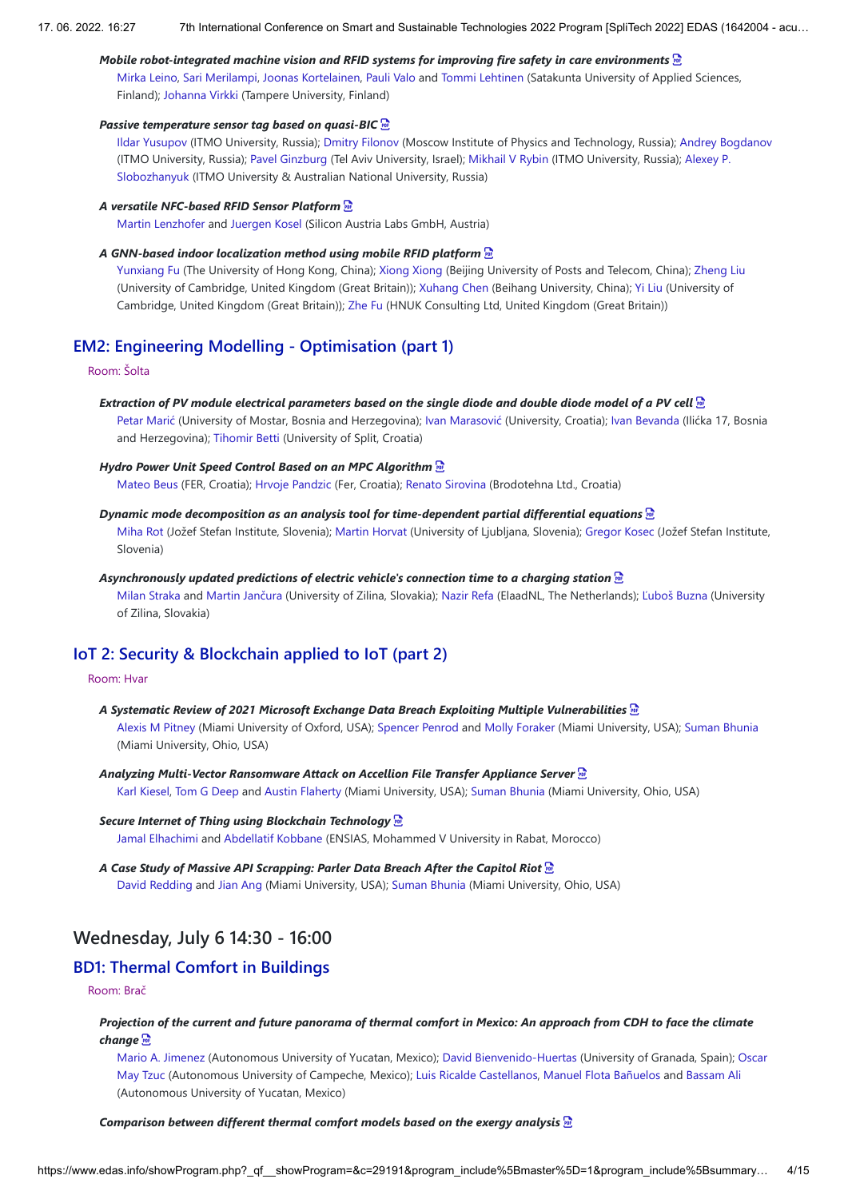#### *Mobile robot-integrated machine vision and RFID systems for improving fire safety in care environments*

Mirka Leino, Sari Merilampi, Joonas Kortelainen, Pauli Valo and Tommi Lehtinen (Satakunta University of Applied Sciences, Finland); Johanna Virkki (Tampere University, Finland)

## *Passive temperature sensor tag based on quasi-BIC*

Ildar Yusupov (ITMO University, Russia); Dmitry Filonov (Moscow Institute of Physics and Technology, Russia); Andrey Bogdanov (ITMO University, Russia); Pavel Ginzburg (Tel Aviv University, Israel); Mikhail V Rybin (ITMO University, Russia); Alexey P. Slobozhanyuk (ITMO University & Australian National University, Russia)

#### *A versatile NFC-based RFID Sensor Platform*

Martin Lenzhofer and Juergen Kosel (Silicon Austria Labs GmbH, Austria)

#### *A GNN-based indoor localization method using mobile RFID platform*

Yunxiang Fu (The University of Hong Kong, China); Xiong Xiong (Beijing University of Posts and Telecom, China); Zheng Liu (University of Cambridge, United Kingdom (Great Britain)); Xuhang Chen (Beihang University, China); Yi Liu (University of Cambridge, United Kingdom (Great Britain)); Zhe Fu (HNUK Consulting Ltd, United Kingdom (Great Britain))

## **EM2: Engineering Modelling - Optimisation (part 1)**

Room: Šolta

#### *Extraction of PV module electrical parameters based on the single diode and double diode model of a PV cell*

Petar Marić (University of Mostar, Bosnia and Herzegovina); Ivan Marasović (University, Croatia); Ivan Bevanda (Ilićka 17, Bosnia and Herzegovina); Tihomir Betti (University of Split, Croatia)

#### *Hydro Power Unit Speed Control Based on an MPC Algorithm*

Mateo Beus (FER, Croatia); Hrvoje Pandzic (Fer, Croatia); Renato Sirovina (Brodotehna Ltd., Croatia)

#### *Dynamic mode decomposition as an analysis tool for time-dependent partial differential equations*

Miha Rot (Jožef Stefan Institute, Slovenia); Martin Horvat (University of Ljubljana, Slovenia); Gregor Kosec (Jožef Stefan Institute, Slovenia)

#### *Asynchronously updated predictions of electric vehicle's connection time to a charging station*

Milan Straka and Martin Jančura (University of Zilina, Slovakia); Nazir Refa (ElaadNL, The Netherlands); Ľuboš Buzna (University of Zilina, Slovakia)

# **IoT 2: Security & Blockchain applied to IoT (part 2)**

### Room: Hvar

- *A Systematic Review of 2021 Microsoft Exchange Data Breach Exploiting Multiple Vulnerabilities*  Alexis M Pitney (Miami University of Oxford, USA); Spencer Penrod and Molly Foraker (Miami University, USA); Suman Bhunia (Miami University, Ohio, USA)
- *Analyzing Multi-Vector Ransomware Attack on Accellion File Transfer Appliance Server*  Karl Kiesel, Tom G Deep and Austin Flaherty (Miami University, USA); Suman Bhunia (Miami University, Ohio, USA)

## *Secure Internet of Thing using Blockchain Technology*  Jamal Elhachimi and Abdellatif Kobbane (ENSIAS, Mohammed V University in Rabat, Morocco)

*A Case Study of Massive API Scrapping: Parler Data Breach After the Capitol Riot*  David Redding and Jian Ang (Miami University, USA); Suman Bhunia (Miami University, Ohio, USA)

# **Wednesday, July 6 14:30 - 16:00**

# **BD1: Thermal Comfort in Buildings**

## Room: Brač

## *Projection of the current and future panorama of thermal comfort in Mexico: An approach from CDH to face the climate change*

Mario A. Jimenez (Autonomous University of Yucatan, Mexico); David Bienvenido-Huertas (University of Granada, Spain); Oscar May Tzuc (Autonomous University of Campeche, Mexico); Luis Ricalde Castellanos, Manuel Flota Bañuelos and Bassam Ali (Autonomous University of Yucatan, Mexico)

#### *Comparison between different thermal comfort models based on the exergy analysis*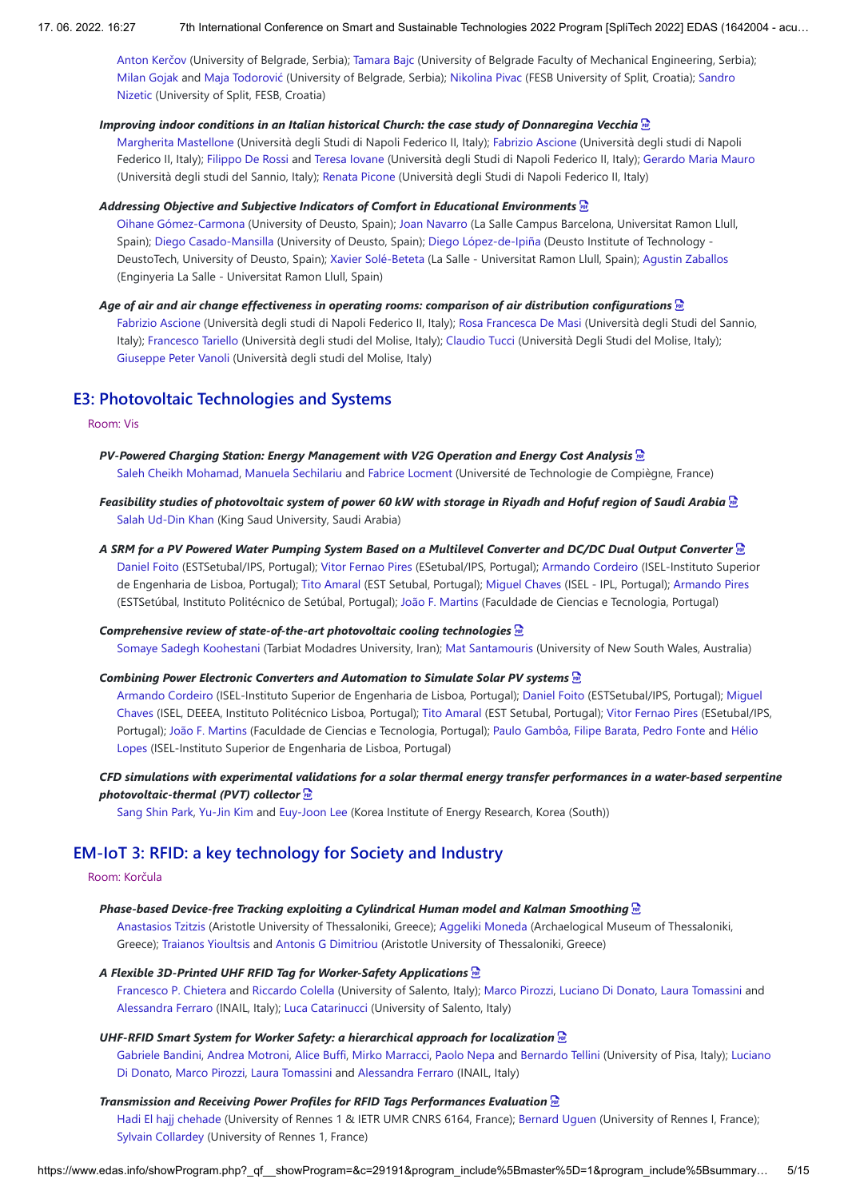Anton Kerčov (University of Belgrade, Serbia); Tamara Bajc (University of Belgrade Faculty of Mechanical Engineering, Serbia); Milan Gojak and Maja Todorović (University of Belgrade, Serbia); Nikolina Pivac (FESB University of Split, Croatia); Sandro Nizetic (University of Split, FESB, Croatia)

## *Improving indoor conditions in an Italian historical Church: the case study of Donnaregina Vecchia*

Margherita Mastellone (Università degli Studi di Napoli Federico II, Italy); Fabrizio Ascione (Università degli studi di Napoli Federico II, Italy); Filippo De Rossi and Teresa Iovane (Università degli Studi di Napoli Federico II, Italy); Gerardo Maria Mauro (Università degli studi del Sannio, Italy); Renata Picone (Università degli Studi di Napoli Federico II, Italy)

#### *Addressing Objective and Subjective Indicators of Comfort in Educational Environments*

Oihane Gómez-Carmona (University of Deusto, Spain); Joan Navarro (La Salle Campus Barcelona, Universitat Ramon Llull, Spain); Diego Casado-Mansilla (University of Deusto, Spain); Diego López-de-Ipiña (Deusto Institute of Technology - DeustoTech, University of Deusto, Spain); Xavier Solé-Beteta (La Salle - Universitat Ramon Llull, Spain); Agustin Zaballos (Enginyeria La Salle - Universitat Ramon Llull, Spain)

## *Age of air and air change effectiveness in operating rooms: comparison of air distribution configurations*

Fabrizio Ascione (Università degli studi di Napoli Federico II, Italy); Rosa Francesca De Masi (Università degli Studi del Sannio, Italy); Francesco Tariello (Università degli studi del Molise, Italy); Claudio Tucci (Università Degli Studi del Molise, Italy); Giuseppe Peter Vanoli (Università degli studi del Molise, Italy)

# **E3: Photovoltaic Technologies and Systems**

## Room: Vis

- *PV-Powered Charging Station: Energy Management with V2G Operation and Energy Cost Analysis*  Saleh Cheikh Mohamad, Manuela Sechilariu and Fabrice Locment (Université de Technologie de Compiègne, France)
- *Feasibility studies of photovoltaic system of power 60 kW with storage in Riyadh and Hofuf region of Saudi Arabia*  Salah Ud-Din Khan (King Saud University, Saudi Arabia)
- *A SRM for a PV Powered Water Pumping System Based on a Multilevel Converter and DC/DC Dual Output Converter*  Daniel Foito (ESTSetubal/IPS, Portugal); Vitor Fernao Pires (ESetubal/IPS, Portugal); Armando Cordeiro (ISEL-Instituto Superior de Engenharia de Lisboa, Portugal); Tito Amaral (EST Setubal, Portugal); Miguel Chaves (ISEL - IPL, Portugal); Armando Pires (ESTSetúbal, Instituto Politécnico de Setúbal, Portugal); João F. Martins (Faculdade de Ciencias e Tecnologia, Portugal)

*Comprehensive review of state-of-the-art photovoltaic cooling technologies*  Somaye Sadegh Koohestani (Tarbiat Modadres University, Iran); Mat Santamouris (University of New South Wales, Australia)

#### *Combining Power Electronic Converters and Automation to Simulate Solar PV systems*

Armando Cordeiro (ISEL-Instituto Superior de Engenharia de Lisboa, Portugal); Daniel Foito (ESTSetubal/IPS, Portugal); Miguel Chaves (ISEL, DEEEA, Instituto Politécnico Lisboa, Portugal); Tito Amaral (EST Setubal, Portugal); Vitor Fernao Pires (ESetubal/IPS, Portugal); João F. Martins (Faculdade de Ciencias e Tecnologia, Portugal); Paulo Gambôa, Filipe Barata, Pedro Fonte and Hélio Lopes (ISEL-Instituto Superior de Engenharia de Lisboa, Portugal)

## *CFD simulations with experimental validations for a solar thermal energy transfer performances in a water-based serpentine photovoltaic-thermal (PVT) collector*

Sang Shin Park, Yu-Jin Kim and Euy-Joon Lee (Korea Institute of Energy Research, Korea (South))

# **EM-IoT 3: RFID: a key technology for Society and Industry**

## Room: Korčula

*Phase-based Device-free Tracking exploiting a Cylindrical Human model and Kalman Smoothing* 

Anastasios Tzitzis (Aristotle University of Thessaloniki, Greece); Aggeliki Moneda (Archaelogical Museum of Thessaloniki, Greece); Traianos Yioultsis and Antonis G Dimitriou (Aristotle University of Thessaloniki, Greece)

## *A Flexible 3D-Printed UHF RFID Tag for Worker-Safety Applications*

Francesco P. Chietera and Riccardo Colella (University of Salento, Italy); Marco Pirozzi, Luciano Di Donato, Laura Tomassini and Alessandra Ferraro (INAIL, Italy); Luca Catarinucci (University of Salento, Italy)

#### *UHF-RFID Smart System for Worker Safety: a hierarchical approach for localization*

Gabriele Bandini, Andrea Motroni, Alice Buffi, Mirko Marracci, Paolo Nepa and Bernardo Tellini (University of Pisa, Italy); Luciano Di Donato, Marco Pirozzi, Laura Tomassini and Alessandra Ferraro (INAIL, Italy)

## *Transmission and Receiving Power Profiles for RFID Tags Performances Evaluation*

Hadi El hajj chehade (University of Rennes 1 & IETR UMR CNRS 6164, France); Bernard Uguen (University of Rennes I, France); Sylvain Collardey (University of Rennes 1, France)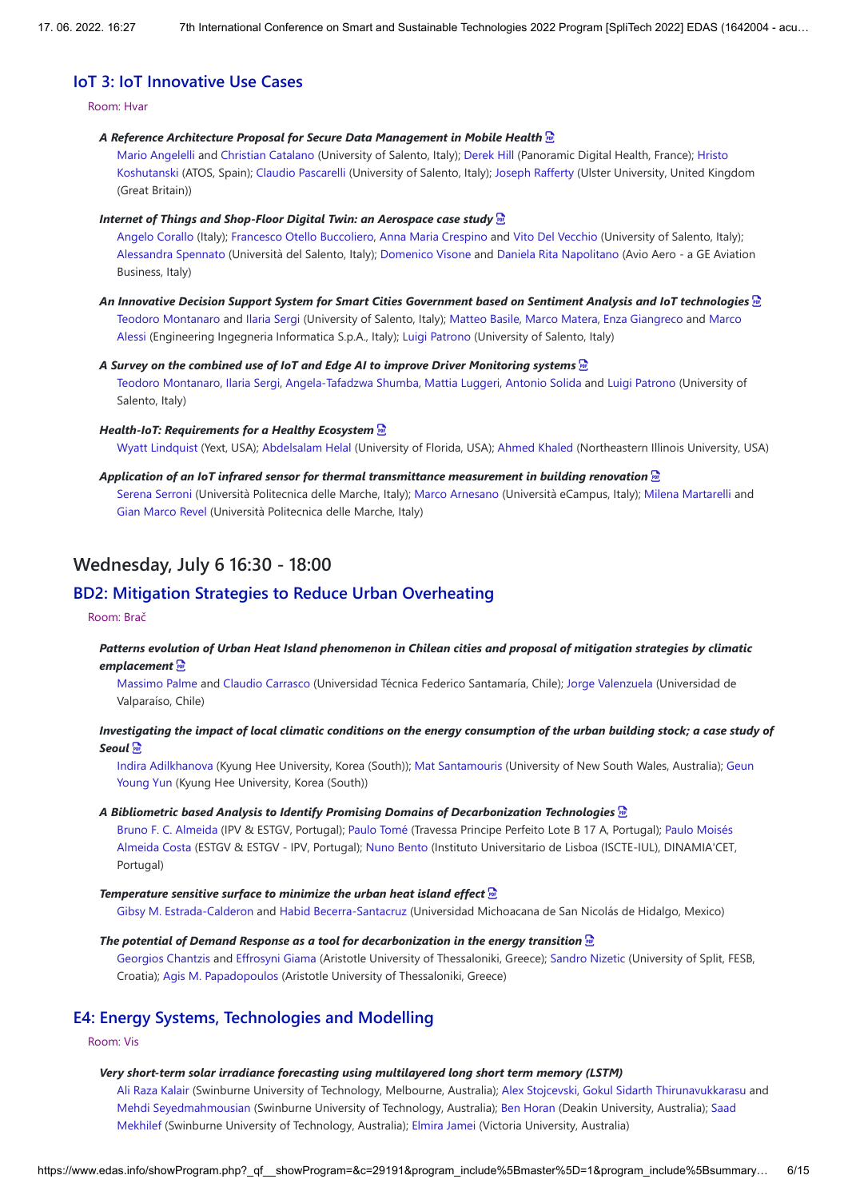# **IoT 3: IoT Innovative Use Cases**

### Room: Hvar

#### *A Reference Architecture Proposal for Secure Data Management in Mobile Health*

Mario Angelelli and Christian Catalano (University of Salento, Italy); Derek Hill (Panoramic Digital Health, France); Hristo Koshutanski (ATOS, Spain); Claudio Pascarelli (University of Salento, Italy); Joseph Rafferty (Ulster University, United Kingdom (Great Britain))

#### *Internet of Things and Shop-Floor Digital Twin: an Aerospace case study*

Angelo Corallo (Italy); Francesco Otello Buccoliero, Anna Maria Crespino and Vito Del Vecchio (University of Salento, Italy); Alessandra Spennato (Università del Salento, Italy); Domenico Visone and Daniela Rita Napolitano (Avio Aero - a GE Aviation Business, Italy)

*An Innovative Decision Support System for Smart Cities Government based on Sentiment Analysis and IoT technologies*  Teodoro Montanaro and Ilaria Sergi (University of Salento, Italy); Matteo Basile, Marco Matera, Enza Giangreco and Marco Alessi (Engineering Ingegneria Informatica S.p.A., Italy); Luigi Patrono (University of Salento, Italy)

#### *A Survey on the combined use of IoT and Edge AI to improve Driver Monitoring systems*

Teodoro Montanaro, Ilaria Sergi, Angela-Tafadzwa Shumba, Mattia Luggeri, Antonio Solida and Luigi Patrono (University of Salento, Italy)

#### *Health-IoT: Requirements for a Healthy Ecosystem*

Wyatt Lindquist (Yext, USA); Abdelsalam Helal (University of Florida, USA); Ahmed Khaled (Northeastern Illinois University, USA)

## *Application of an IoT infrared sensor for thermal transmittance measurement in building renovation*

Serena Serroni (Università Politecnica delle Marche, Italy); Marco Arnesano (Università eCampus, Italy); Milena Martarelli and Gian Marco Revel (Università Politecnica delle Marche, Italy)

# **Wednesday, July 6 16:30 - 18:00**

## **BD2: Mitigation Strategies to Reduce Urban Overheating**

## Room: Brač

## *Patterns evolution of Urban Heat Island phenomenon in Chilean cities and proposal of mitigation strategies by climatic emplacement*

Massimo Palme and Claudio Carrasco (Universidad Técnica Federico Santamaría, Chile); Jorge Valenzuela (Universidad de Valparaíso, Chile)

## *Investigating the impact of local climatic conditions on the energy consumption of the urban building stock; a case study of Seoul*

Indira Adilkhanova (Kyung Hee University, Korea (South)); Mat Santamouris (University of New South Wales, Australia); Geun Young Yun (Kyung Hee University, Korea (South))

#### *A Bibliometric based Analysis to Identify Promising Domains of Decarbonization Technologies*

Bruno F. C. Almeida (IPV & ESTGV, Portugal); Paulo Tomé (Travessa Principe Perfeito Lote B 17 A, Portugal); Paulo Moisés Almeida Costa (ESTGV & ESTGV - IPV, Portugal); Nuno Bento (Instituto Universitario de Lisboa (ISCTE-IUL), DINAMIA'CET, Portugal)

#### *Temperature sensitive surface to minimize the urban heat island effect*

Gibsy M. Estrada-Calderon and Habid Becerra-Santacruz (Universidad Michoacana de San Nicolás de Hidalgo, Mexico)

## *The potential of Demand Response as a tool for decarbonization in the energy transition*

Georgios Chantzis and Effrosyni Giama (Aristotle University of Thessaloniki, Greece); Sandro Nizetic (University of Split, FESB, Croatia); Agis M. Papadopoulos (Aristotle University of Thessaloniki, Greece)

# **E4: Energy Systems, Technologies and Modelling**

Room: Vis

#### *Very short-term solar irradiance forecasting using multilayered long short term memory (LSTM)*

Ali Raza Kalair (Swinburne University of Technology, Melbourne, Australia); Alex Stojcevski, Gokul Sidarth Thirunavukkarasu and Mehdi Seyedmahmousian (Swinburne University of Technology, Australia); Ben Horan (Deakin University, Australia); Saad Mekhilef (Swinburne University of Technology, Australia); Elmira Jamei (Victoria University, Australia)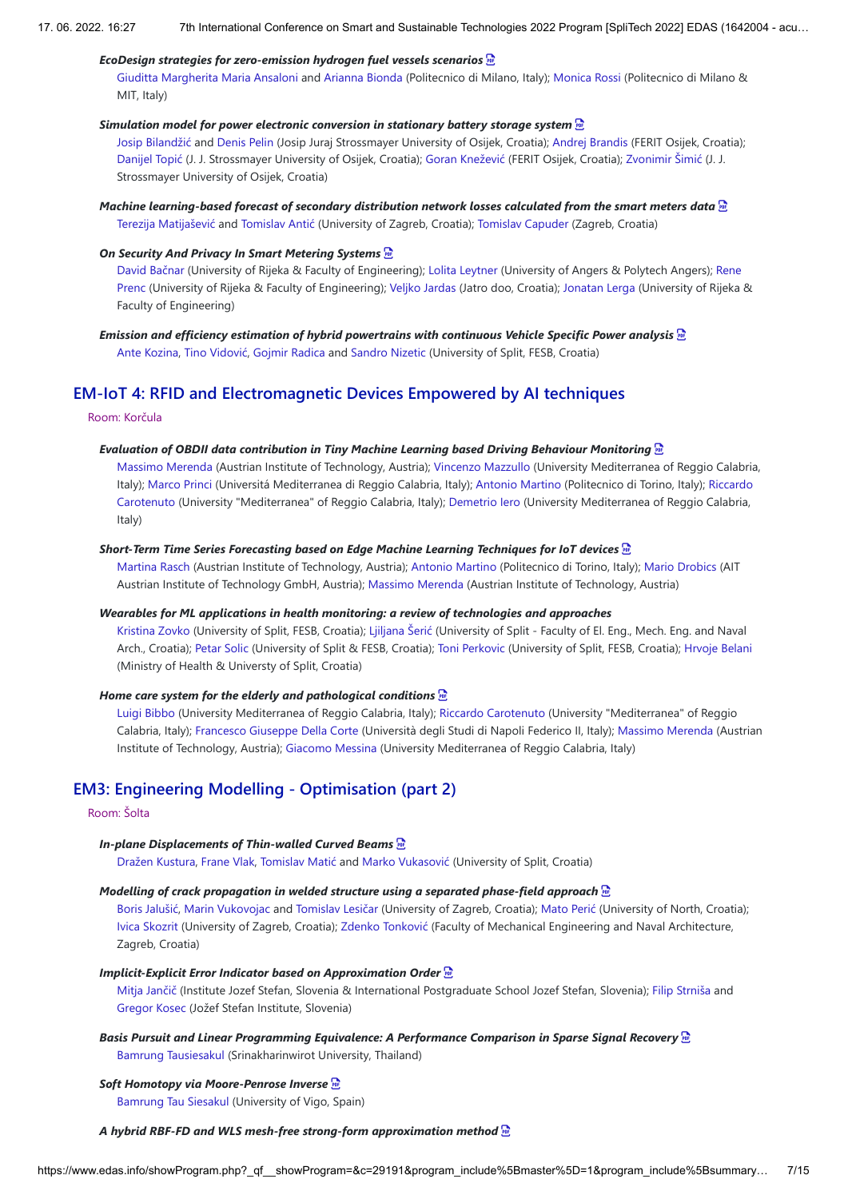## *EcoDesign strategies for zero-emission hydrogen fuel vessels scenarios*

Giuditta Margherita Maria Ansaloni and Arianna Bionda (Politecnico di Milano, Italy); Monica Rossi (Politecnico di Milano & MIT, Italy)

## *Simulation model for power electronic conversion in stationary battery storage system*

Josip Bilandžić and Denis Pelin (Josip Juraj Strossmayer University of Osijek, Croatia); Andrej Brandis (FERIT Osijek, Croatia); Danijel Topić (J. J. Strossmayer University of Osijek, Croatia); Goran Knežević (FERIT Osijek, Croatia); Zvonimir Šimić (J. J. Strossmayer University of Osijek, Croatia)

# *Machine learning-based forecast of secondary distribution network losses calculated from the smart meters data*

Terezija Matijašević and Tomislav Antić (University of Zagreb, Croatia); Tomislav Capuder (Zagreb, Croatia)

# *On Security And Privacy In Smart Metering Systems*

David Bačnar (University of Rijeka & Faculty of Engineering); Lolita Leytner (University of Angers & Polytech Angers); Rene Prenc (University of Rijeka & Faculty of Engineering); Veljko Jardas (Jatro doo, Croatia); Jonatan Lerga (University of Rijeka & Faculty of Engineering)

## *Emission and efficiency estimation of hybrid powertrains with continuous Vehicle Specific Power analysis*  Ante Kozina, Tino Vidović, Gojmir Radica and Sandro Nizetic (University of Split, FESB, Croatia)

# **EM-IoT 4: RFID and Electromagnetic Devices Empowered by AI techniques**

Room: Korčula

# *Evaluation of OBDII data contribution in Tiny Machine Learning based Driving Behaviour Monitoring*

Massimo Merenda (Austrian Institute of Technology, Austria); Vincenzo Mazzullo (University Mediterranea of Reggio Calabria, Italy); Marco Princi (Universitá Mediterranea di Reggio Calabria, Italy); Antonio Martino (Politecnico di Torino, Italy); Riccardo Carotenuto (University "Mediterranea" of Reggio Calabria, Italy); Demetrio Iero (University Mediterranea of Reggio Calabria, Italy)

# *Short-Term Time Series Forecasting based on Edge Machine Learning Techniques for IoT devices*

Martina Rasch (Austrian Institute of Technology, Austria); Antonio Martino (Politecnico di Torino, Italy); Mario Drobics (AIT Austrian Institute of Technology GmbH, Austria); Massimo Merenda (Austrian Institute of Technology, Austria)

# *Wearables for ML applications in health monitoring: a review of technologies and approaches*

Kristina Zovko (University of Split, FESB, Croatia); Ljiljana Šerić (University of Split - Faculty of El. Eng., Mech. Eng. and Naval Arch., Croatia); Petar Solic (University of Split & FESB, Croatia); Toni Perkovic (University of Split, FESB, Croatia); Hrvoje Belani (Ministry of Health & Universty of Split, Croatia)

# *Home care system for the elderly and pathological conditions*

Luigi Bibbo (University Mediterranea of Reggio Calabria, Italy); Riccardo Carotenuto (University "Mediterranea" of Reggio Calabria, Italy); Francesco Giuseppe Della Corte (Università degli Studi di Napoli Federico II, Italy); Massimo Merenda (Austrian Institute of Technology, Austria); Giacomo Messina (University Mediterranea of Reggio Calabria, Italy)

# **EM3: Engineering Modelling - Optimisation (part 2)**

# Room: Šolta

# *In-plane Displacements of Thin-walled Curved Beams*

Dražen Kustura, Frane Vlak, Tomislav Matić and Marko Vukasović (University of Split, Croatia)

# *Modelling of crack propagation in welded structure using a separated phase-field approach*

Boris Jalušić, Marin Vukovojac and Tomislav Lesičar (University of Zagreb, Croatia); Mato Perić (University of North, Croatia); Ivica Skozrit (University of Zagreb, Croatia); Zdenko Tonković (Faculty of Mechanical Engineering and Naval Architecture, Zagreb, Croatia)

# *Implicit-Explicit Error Indicator based on Approximation Order*

Mitja Jančič (Institute Jozef Stefan, Slovenia & International Postgraduate School Jozef Stefan, Slovenia); Filip Strniša and Gregor Kosec (Jožef Stefan Institute, Slovenia)

*Basis Pursuit and Linear Programming Equivalence: A Performance Comparison in Sparse Signal Recovery*  Bamrung Tausiesakul (Srinakharinwirot University, Thailand)

# *Soft Homotopy via Moore-Penrose Inverse*

Bamrung Tau Siesakul (University of Vigo, Spain)

# *A hybrid RBF-FD and WLS mesh-free strong-form approximation method*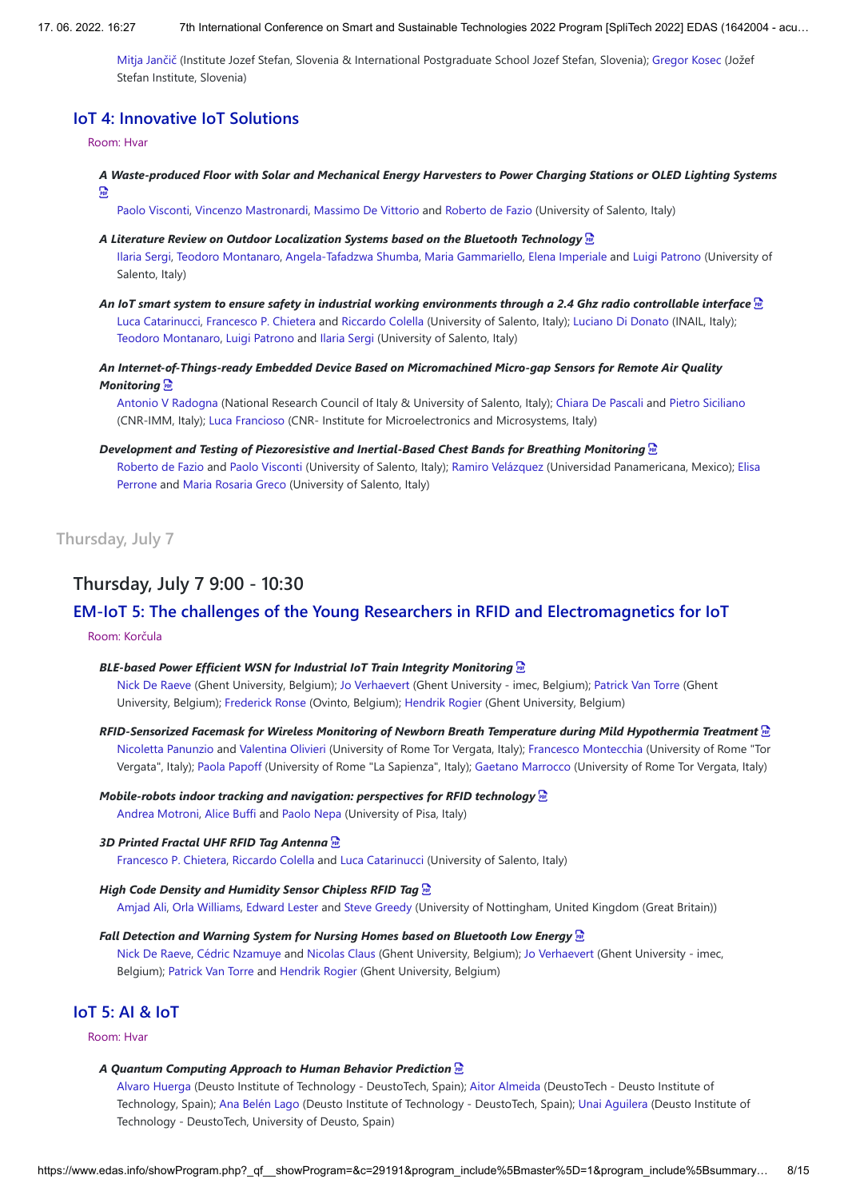Mitja Jančič (Institute Jozef Stefan, Slovenia & International Postgraduate School Jozef Stefan, Slovenia); Gregor Kosec (Jožef Stefan Institute, Slovenia)

# **IoT 4: Innovative IoT Solutions**

#### Room: Hvar

*A Waste-produced Floor with Solar and Mechanical Energy Harvesters to Power Charging Stations or OLED Lighting Systems*  **Por** 

Paolo Visconti, Vincenzo Mastronardi, Massimo De Vittorio and Roberto de Fazio (University of Salento, Italy)

*A Literature Review on Outdoor Localization Systems based on the Bluetooth Technology* 

Ilaria Sergi, Teodoro Montanaro, Angela-Tafadzwa Shumba, Maria Gammariello, Elena Imperiale and Luigi Patrono (University of Salento, Italy)

*An IoT smart system to ensure safety in industrial working environments through a 2.4 Ghz radio controllable interface*  Luca Catarinucci, Francesco P. Chietera and Riccardo Colella (University of Salento, Italy); Luciano Di Donato (INAIL, Italy); Teodoro Montanaro, Luigi Patrono and Ilaria Sergi (University of Salento, Italy)

*An Internet-of-Things-ready Embedded Device Based on Micromachined Micro-gap Sensors for Remote Air Quality Monitoring* 

Antonio V Radogna (National Research Council of Italy & University of Salento, Italy); Chiara De Pascali and Pietro Siciliano (CNR-IMM, Italy); Luca Francioso (CNR- Institute for Microelectronics and Microsystems, Italy)

*Development and Testing of Piezoresistive and Inertial-Based Chest Bands for Breathing Monitoring* 

Roberto de Fazio and Paolo Visconti (University of Salento, Italy); Ramiro Velázquez (Universidad Panamericana, Mexico); Elisa Perrone and Maria Rosaria Greco (University of Salento, Italy)

**Thursday, July 7**

# **Thursday, July 7 9:00 - 10:30**

# **EM-IoT 5: The challenges of the Young Researchers in RFID and Electromagnetics for IoT**

## Room: Korčula

### *BLE-based Power Efficient WSN for Industrial IoT Train Integrity Monitoring*

Nick De Raeve (Ghent University, Belgium); Jo Verhaevert (Ghent University - imec, Belgium); Patrick Van Torre (Ghent University, Belgium); Frederick Ronse (Ovinto, Belgium); Hendrik Rogier (Ghent University, Belgium)

#### *RFID-Sensorized Facemask for Wireless Monitoring of Newborn Breath Temperature during Mild Hypothermia Treatment*

Nicoletta Panunzio and Valentina Olivieri (University of Rome Tor Vergata, Italy); Francesco Montecchia (University of Rome "Tor Vergata", Italy); Paola Papoff (University of Rome "La Sapienza", Italy); Gaetano Marrocco (University of Rome Tor Vergata, Italy)

#### *Mobile-robots indoor tracking and navigation: perspectives for RFID technology*

Andrea Motroni, Alice Buffi and Paolo Nepa (University of Pisa, Italy)

## *3D Printed Fractal UHF RFID Tag Antenna*

Francesco P. Chietera, Riccardo Colella and Luca Catarinucci (University of Salento, Italy)

#### *High Code Density and Humidity Sensor Chipless RFID Tag*

Amjad Ali, Orla Williams, Edward Lester and Steve Greedy (University of Nottingham, United Kingdom (Great Britain))

#### *Fall Detection and Warning System for Nursing Homes based on Bluetooth Low Energy*

Nick De Raeve, Cédric Nzamuye and Nicolas Claus (Ghent University, Belgium); Jo Verhaevert (Ghent University - imec, Belgium); Patrick Van Torre and Hendrik Rogier (Ghent University, Belgium)

# **IoT 5: AI & IoT**

Room: Hvar

#### *A Quantum Computing Approach to Human Behavior Prediction*

Alvaro Huerga (Deusto Institute of Technology - DeustoTech, Spain); Aitor Almeida (DeustoTech - Deusto Institute of Technology, Spain); Ana Belén Lago (Deusto Institute of Technology - DeustoTech, Spain); Unai Aguilera (Deusto Institute of Technology - DeustoTech, University of Deusto, Spain)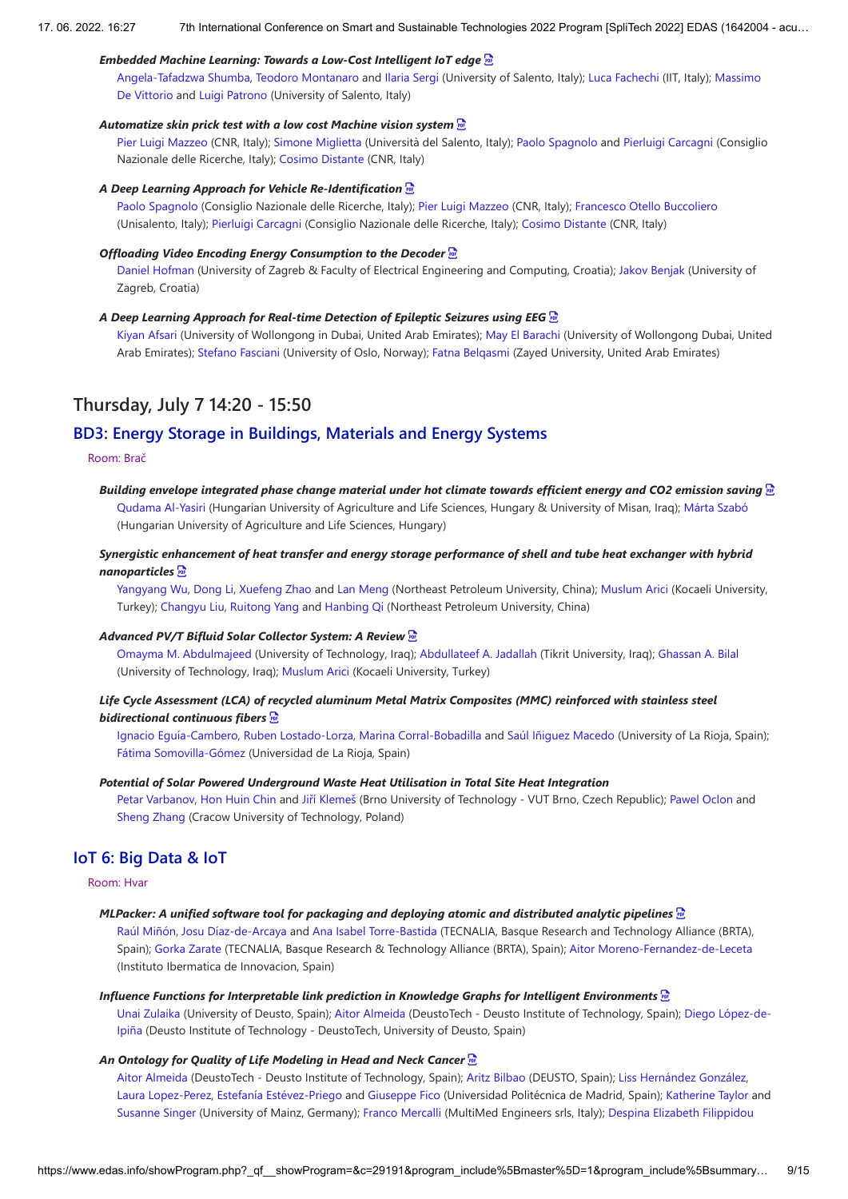## *Embedded Machine Learning: Towards a Low-Cost Intelligent IoT edge*

Angela-Tafadzwa Shumba, Teodoro Montanaro and Ilaria Sergi (University of Salento, Italy); Luca Fachechi (IIT, Italy); Massimo De Vittorio and Luigi Patrono (University of Salento, Italy)

## *Automatize skin prick test with a low cost Machine vision system*

Pier Luigi Mazzeo (CNR, Italy); Simone Miglietta (Università del Salento, Italy); Paolo Spagnolo and Pierluigi Carcagni (Consiglio Nazionale delle Ricerche, Italy); Cosimo Distante (CNR, Italy)

#### *A Deep Learning Approach for Vehicle Re-Identification*

Paolo Spagnolo (Consiglio Nazionale delle Ricerche, Italy); Pier Luigi Mazzeo (CNR, Italy); Francesco Otello Buccoliero (Unisalento, Italy); Pierluigi Carcagni (Consiglio Nazionale delle Ricerche, Italy); Cosimo Distante (CNR, Italy)

#### *Offloading Video Encoding Energy Consumption to the Decoder*

Daniel Hofman (University of Zagreb & Faculty of Electrical Engineering and Computing, Croatia); Jakov Benjak (University of Zagreb, Croatia)

## *A Deep Learning Approach for Real-time Detection of Epileptic Seizures using EEG*

Kiyan Afsari (University of Wollongong in Dubai, United Arab Emirates); May El Barachi (University of Wollongong Dubai, United Arab Emirates); Stefano Fasciani (University of Oslo, Norway); Fatna Belqasmi (Zayed University, United Arab Emirates)

# **Thursday, July 7 14:20 - 15:50**

# **BD3: Energy Storage in Buildings, Materials and Energy Systems**

### Room: Brač

*Building envelope integrated phase change material under hot climate towards efficient energy and CO2 emission saving*  Qudama Al-Yasiri (Hungarian University of Agriculture and Life Sciences, Hungary & University of Misan, Iraq); Márta Szabó (Hungarian University of Agriculture and Life Sciences, Hungary)

## *Synergistic enhancement of heat transfer and energy storage performance of shell and tube heat exchanger with hybrid nanoparticles*

Yangyang Wu, Dong Li, Xuefeng Zhao and Lan Meng (Northeast Petroleum University, China); Muslum Arici (Kocaeli University, Turkey); Changyu Liu, Ruitong Yang and Hanbing Qi (Northeast Petroleum University, China)

### *Advanced PV/T Bifluid Solar Collector System: A Review*

Omayma M. Abdulmajeed (University of Technology, Iraq); Abdullateef A. Jadallah (Tikrit University, Iraq); Ghassan A. Bilal (University of Technology, Iraq); Muslum Arici (Kocaeli University, Turkey)

## *Life Cycle Assessment (LCA) of recycled aluminum Metal Matrix Composites (MMC) reinforced with stainless steel bidirectional continuous fibers*

Ignacio Eguía-Cambero, Ruben Lostado-Lorza, Marina Corral-Bobadilla and Saúl Iñiguez Macedo (University of La Rioja, Spain); Fátima Somovilla-Gómez (Universidad de La Rioja, Spain)

#### *Potential of Solar Powered Underground Waste Heat Utilisation in Total Site Heat Integration*

Petar Varbanov, Hon Huin Chin and Jiří Klemeš (Brno University of Technology - VUT Brno, Czech Republic); Pawel Oclon and Sheng Zhang (Cracow University of Technology, Poland)

## **IoT 6: Big Data & IoT**

## Room: Hvar

#### *MLPacker: A unified software tool for packaging and deploying atomic and distributed analytic pipelines*

Raúl Miñón, Josu Díaz-de-Arcaya and Ana Isabel Torre-Bastida (TECNALIA, Basque Research and Technology Alliance (BRTA), Spain); Gorka Zarate (TECNALIA, Basque Research & Technology Alliance (BRTA), Spain); Aitor Moreno-Fernandez-de-Leceta (Instituto Ibermatica de Innovacion, Spain)

## *Influence Functions for Interpretable link prediction in Knowledge Graphs for Intelligent Environments*

Unai Zulaika (University of Deusto, Spain); Aitor Almeida (DeustoTech - Deusto Institute of Technology, Spain); Diego López-de-Ipiña (Deusto Institute of Technology - DeustoTech, University of Deusto, Spain)

#### *An Ontology for Quality of Life Modeling in Head and Neck Cancer*

Aitor Almeida (DeustoTech - Deusto Institute of Technology, Spain); Aritz Bilbao (DEUSTO, Spain); Liss Hernández González, Laura Lopez-Perez, Estefanía Estévez-Priego and Giuseppe Fico (Universidad Politécnica de Madrid, Spain); Katherine Taylor and Susanne Singer (University of Mainz, Germany); Franco Mercalli (MultiMed Engineers srls, Italy); Despina Elizabeth Filippidou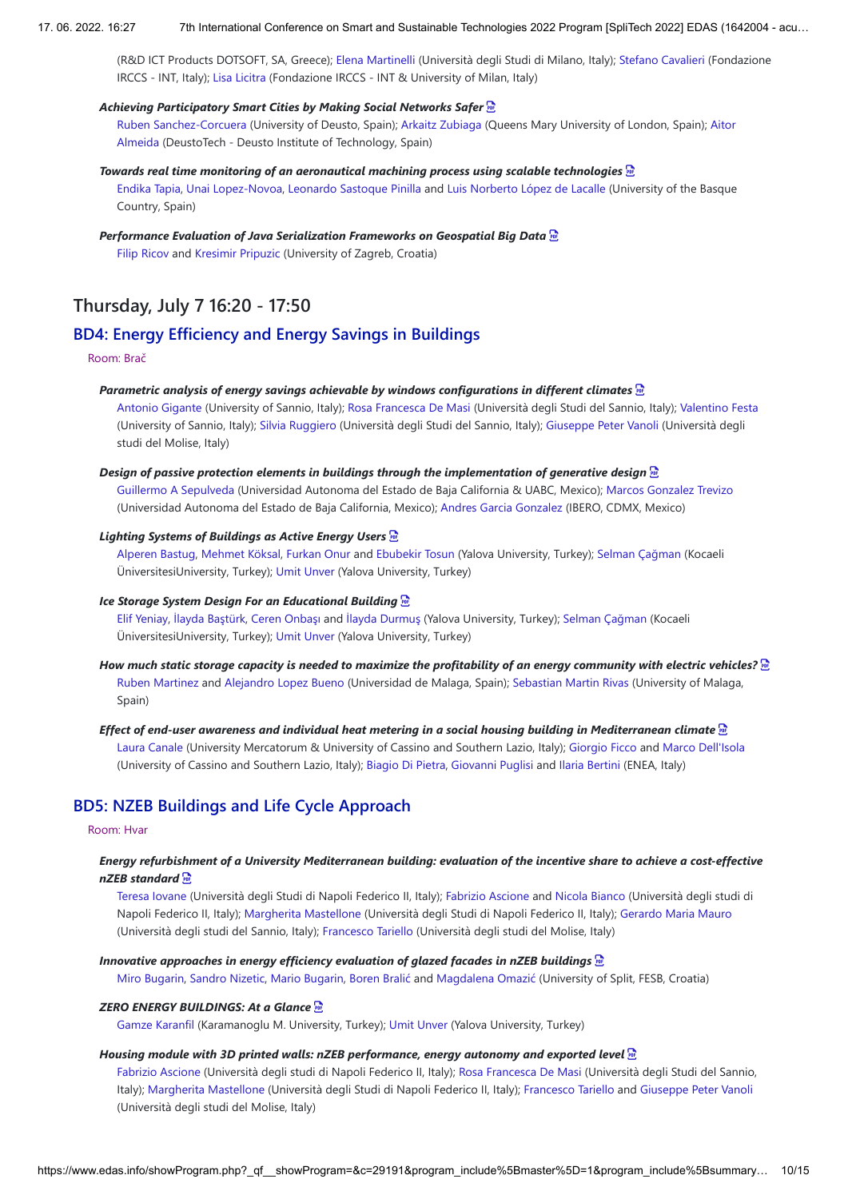(R&D ICT Products DOTSOFT, SA, Greece); Elena Martinelli (Università degli Studi di Milano, Italy); Stefano Cavalieri (Fondazione IRCCS - INT, Italy); Lisa Licitra (Fondazione IRCCS - INT & University of Milan, Italy)

#### *Achieving Participatory Smart Cities by Making Social Networks Safer*

Ruben Sanchez-Corcuera (University of Deusto, Spain); Arkaitz Zubiaga (Queens Mary University of London, Spain); Aitor Almeida (DeustoTech - Deusto Institute of Technology, Spain)

#### *Towards real time monitoring of an aeronautical machining process using scalable technologies*

Endika Tapia, Unai Lopez-Novoa, Leonardo Sastoque Pinilla and Luis Norberto López de Lacalle (University of the Basque Country, Spain)

# *Performance Evaluation of Java Serialization Frameworks on Geospatial Big Data*

Filip Ricov and Kresimir Pripuzic (University of Zagreb, Croatia)

# **Thursday, July 7 16:20 - 17:50**

# **BD4: Energy Efficiency and Energy Savings in Buildings**

#### Room: Brač

#### *Parametric analysis of energy savings achievable by windows configurations in different climates*

Antonio Gigante (University of Sannio, Italy); Rosa Francesca De Masi (Università degli Studi del Sannio, Italy); Valentino Festa (University of Sannio, Italy); Silvia Ruggiero (Università degli Studi del Sannio, Italy); Giuseppe Peter Vanoli (Università degli studi del Molise, Italy)

#### *Design of passive protection elements in buildings through the implementation of generative design*

Guillermo A Sepulveda (Universidad Autonoma del Estado de Baja California & UABC, Mexico); Marcos Gonzalez Trevizo (Universidad Autonoma del Estado de Baja California, Mexico); Andres Garcia Gonzalez (IBERO, CDMX, Mexico)

## *Lighting Systems of Buildings as Active Energy Users*

Alperen Bastug, Mehmet Köksal, Furkan Onur and Ebubekir Tosun (Yalova University, Turkey); Selman Çağman (Kocaeli ÜniversitesiUniversity, Turkey); Umit Unver (Yalova University, Turkey)

## *Ice Storage System Design For an Educational Building*

Elif Yeniay, İlayda Baştürk, Ceren Onbaşı and İlayda Durmuş (Yalova University, Turkey); Selman Çağman (Kocaeli ÜniversitesiUniversity, Turkey); Umit Unver (Yalova University, Turkey)

- *How much static storage capacity is needed to maximize the profitability of an energy community with electric vehicles?* Ruben Martinez and Alejandro Lopez Bueno (Universidad de Malaga, Spain); Sebastian Martin Rivas (University of Malaga, Spain)
- *Effect of end-user awareness and individual heat metering in a social housing building in Mediterranean climate*  Laura Canale (University Mercatorum & University of Cassino and Southern Lazio, Italy); Giorgio Ficco and Marco Dell'Isola (University of Cassino and Southern Lazio, Italy); Biagio Di Pietra, Giovanni Puglisi and Ilaria Bertini (ENEA, Italy)

# **BD5: NZEB Buildings and Life Cycle Approach**

## Room: Hvar

## *Energy refurbishment of a University Mediterranean building: evaluation of the incentive share to achieve a cost-effective nZEB standard*

Teresa Iovane (Università degli Studi di Napoli Federico II, Italy); Fabrizio Ascione and Nicola Bianco (Università degli studi di Napoli Federico II, Italy); Margherita Mastellone (Università degli Studi di Napoli Federico II, Italy); Gerardo Maria Mauro (Università degli studi del Sannio, Italy); Francesco Tariello (Università degli studi del Molise, Italy)

## *Innovative approaches in energy efficiency evaluation of glazed facades in nZEB buildings*

Miro Bugarin, Sandro Nizetic, Mario Bugarin, Boren Bralić and Magdalena Omazić (University of Split, FESB, Croatia)

#### *ZERO ENERGY BUILDINGS: At a Glance*

Gamze Karanfil (Karamanoglu M. University, Turkey); Umit Unver (Yalova University, Turkey)

### *Housing module with 3D printed walls: nZEB performance, energy autonomy and exported level*

Fabrizio Ascione (Università degli studi di Napoli Federico II, Italy); Rosa Francesca De Masi (Università degli Studi del Sannio, Italy); Margherita Mastellone (Università degli Studi di Napoli Federico II, Italy); Francesco Tariello and Giuseppe Peter Vanoli (Università degli studi del Molise, Italy)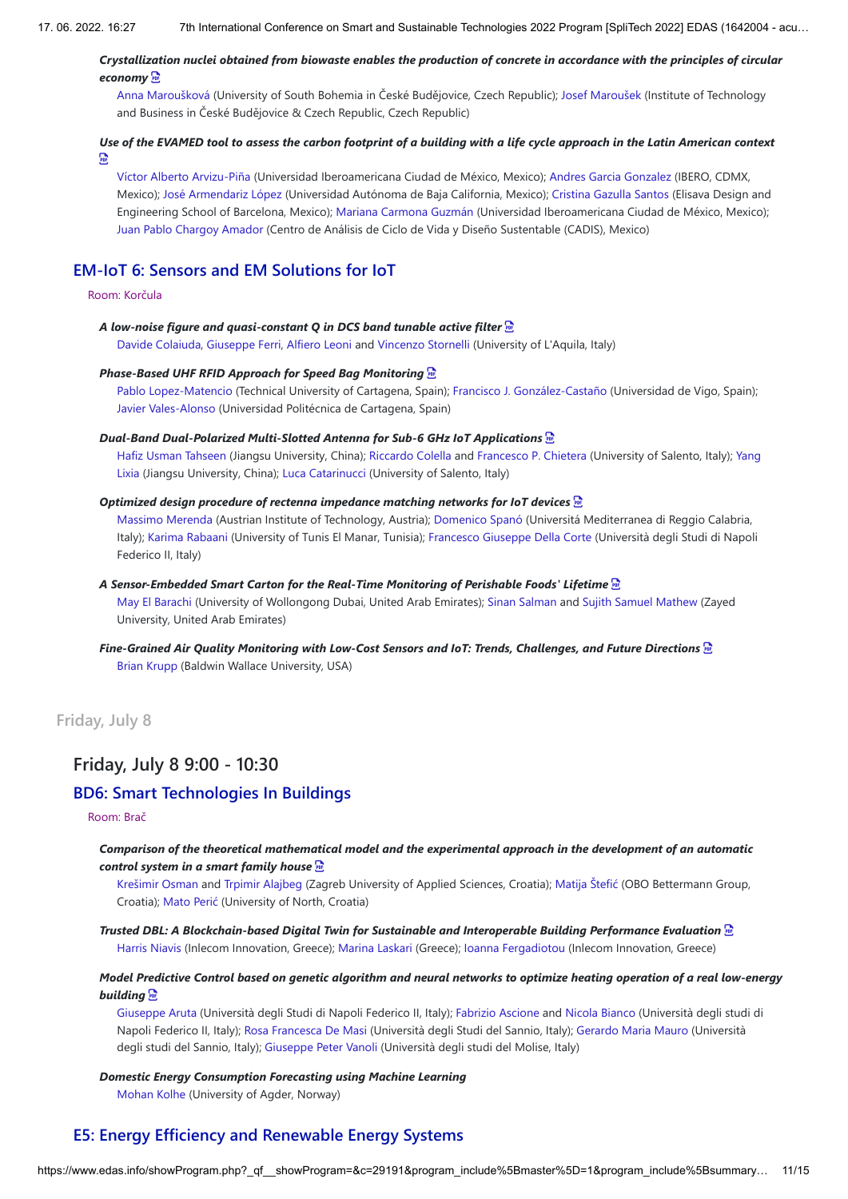## *Crystallization nuclei obtained from biowaste enables the production of concrete in accordance with the principles of circular economy*

Anna Maroušková (University of South Bohemia in České Budějovice, Czech Republic); Josef Maroušek (Institute of Technology and Business in České Budějovice & Czech Republic, Czech Republic)

## *Use of the EVAMED tool to assess the carbon footprint of a building with a life cycle approach in the Latin American context*   $\sum_{i=1}^{n}$

Víctor Alberto Arvizu-Piña (Universidad Iberoamericana Ciudad de México, Mexico); Andres Garcia Gonzalez (IBERO, CDMX, Mexico); José Armendariz López (Universidad Autónoma de Baja California, Mexico); Cristina Gazulla Santos (Elisava Design and Engineering School of Barcelona, Mexico); Mariana Carmona Guzmán (Universidad Iberoamericana Ciudad de México, Mexico); Juan Pablo Chargoy Amador (Centro de Análisis de Ciclo de Vida y Diseño Sustentable (CADIS), Mexico)

# **EM-IoT 6: Sensors and EM Solutions for IoT**

## Room: Korčula

*A low-noise figure and quasi-constant Q in DCS band tunable active filter* 

Davide Colaiuda, Giuseppe Ferri, Alfiero Leoni and Vincenzo Stornelli (University of L'Aquila, Italy)

### *Phase-Based UHF RFID Approach for Speed Bag Monitoring*

Pablo Lopez-Matencio (Technical University of Cartagena, Spain); Francisco J. González-Castaño (Universidad de Vigo, Spain); Javier Vales-Alonso (Universidad Politécnica de Cartagena, Spain)

#### *Dual-Band Dual-Polarized Multi-Slotted Antenna for Sub-6 GHz IoT Applications*

Hafiz Usman Tahseen (Jiangsu University, China); Riccardo Colella and Francesco P. Chietera (University of Salento, Italy); Yang Lixia (Jiangsu University, China); Luca Catarinucci (University of Salento, Italy)

## *Optimized design procedure of rectenna impedance matching networks for IoT devices*

Massimo Merenda (Austrian Institute of Technology, Austria); Domenico Spanó (Universitá Mediterranea di Reggio Calabria, Italy); Karima Rabaani (University of Tunis El Manar, Tunisia); Francesco Giuseppe Della Corte (Università degli Studi di Napoli Federico II, Italy)

## *A Sensor-Embedded Smart Carton for the Real-Time Monitoring of Perishable Foods' Lifetime*

May El Barachi (University of Wollongong Dubai, United Arab Emirates); Sinan Salman and Sujith Samuel Mathew (Zayed University, United Arab Emirates)

## *Fine-Grained Air Quality Monitoring with Low-Cost Sensors and IoT: Trends, Challenges, and Future Directions*  Brian Krupp (Baldwin Wallace University, USA)

**Friday, July 8**

# **Friday, July 8 9:00 - 10:30**

# **BD6: Smart Technologies In Buildings**

#### Room: Brač

*Comparison of the theoretical mathematical model and the experimental approach in the development of an automatic control system in a smart family house* 

Krešimir Osman and Trpimir Alajbeg (Zagreb University of Applied Sciences, Croatia); Matija Štefić (OBO Bettermann Group, Croatia); Mato Perić (University of North, Croatia)

*Trusted DBL: A Blockchain-based Digital Twin for Sustainable and Interoperable Building Performance Evaluation*  Harris Niavis (Inlecom Innovation, Greece); Marina Laskari (Greece); Ioanna Fergadiotou (Inlecom Innovation, Greece)

## *Model Predictive Control based on genetic algorithm and neural networks to optimize heating operation of a real low-energy building*

Giuseppe Aruta (Università degli Studi di Napoli Federico II, Italy); Fabrizio Ascione and Nicola Bianco (Università degli studi di Napoli Federico II, Italy); Rosa Francesca De Masi (Università degli Studi del Sannio, Italy); Gerardo Maria Mauro (Università degli studi del Sannio, Italy); Giuseppe Peter Vanoli (Università degli studi del Molise, Italy)

#### *Domestic Energy Consumption Forecasting using Machine Learning*

Mohan Kolhe (University of Agder, Norway)

# **E5: Energy Efficiency and Renewable Energy Systems**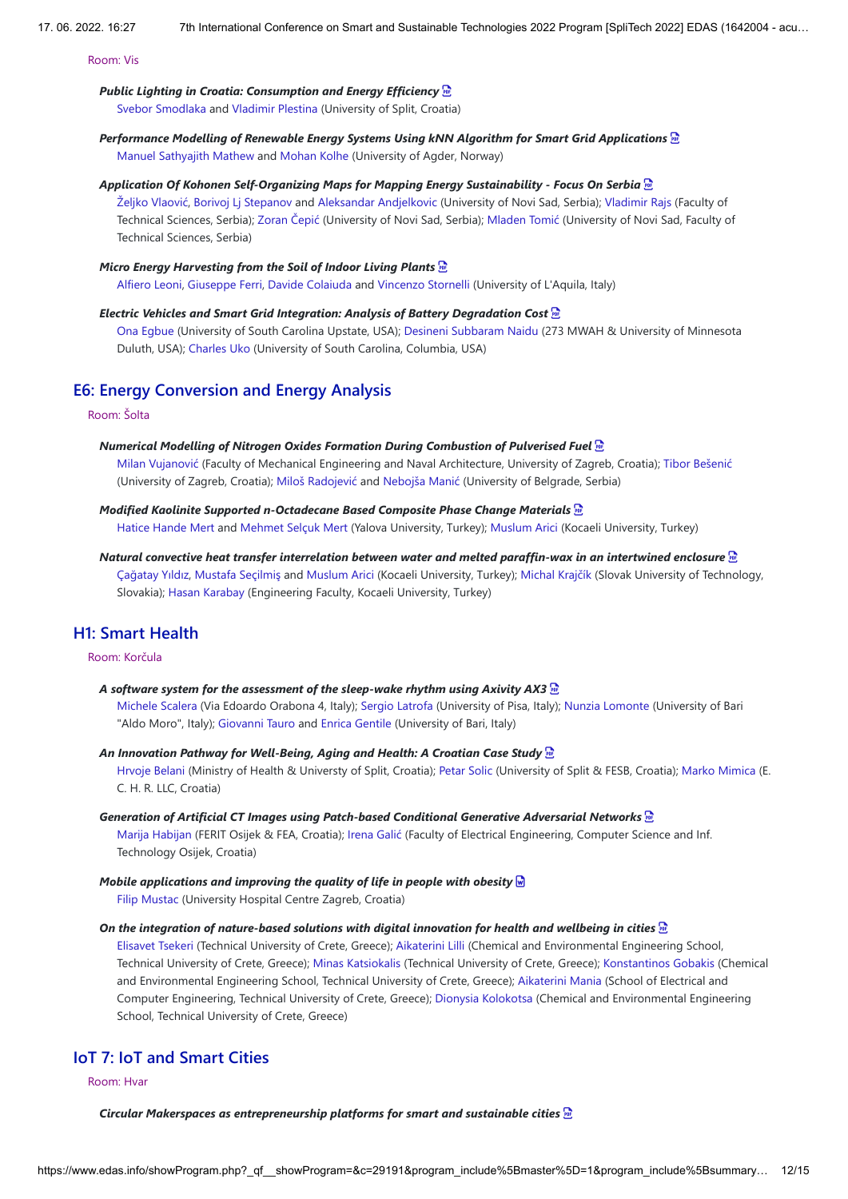Room: Vis

## *Public Lighting in Croatia: Consumption and Energy Efficiency*

Svebor Smodlaka and Vladimir Plestina (University of Split, Croatia)

## *Performance Modelling of Renewable Energy Systems Using kNN Algorithm for Smart Grid Applications*  Manuel Sathyajith Mathew and Mohan Kolhe (University of Agder, Norway)

## *Application Of Kohonen Self-Organizing Maps for Mapping Energy Sustainability - Focus On Serbia*

Željko Vlaović, Borivoj Lj Stepanov and Aleksandar Andjelkovic (University of Novi Sad, Serbia); Vladimir Rajs (Faculty of Technical Sciences, Serbia); Zoran Čepić (University of Novi Sad, Serbia); Mladen Tomić (University of Novi Sad, Faculty of Technical Sciences, Serbia)

## *Micro Energy Harvesting from the Soil of Indoor Living Plants*

Alfiero Leoni, Giuseppe Ferri, Davide Colaiuda and Vincenzo Stornelli (University of L'Aquila, Italy)

#### *Electric Vehicles and Smart Grid Integration: Analysis of Battery Degradation Cost*

Ona Egbue (University of South Carolina Upstate, USA); Desineni Subbaram Naidu (273 MWAH & University of Minnesota Duluth, USA); Charles Uko (University of South Carolina, Columbia, USA)

# **E6: Energy Conversion and Energy Analysis**

Room: Šolta

#### *Numerical Modelling of Nitrogen Oxides Formation During Combustion of Pulverised Fuel*

Milan Vujanović (Faculty of Mechanical Engineering and Naval Architecture, University of Zagreb, Croatia); Tibor Bešenić (University of Zagreb, Croatia); Miloš Radojević and Nebojša Manić (University of Belgrade, Serbia)

## *Modified Kaolinite Supported n-Octadecane Based Composite Phase Change Materials*

Hatice Hande Mert and Mehmet Selçuk Mert (Yalova University, Turkey); Muslum Arici (Kocaeli University, Turkey)

## *Natural convective heat transfer interrelation between water and melted paraffin-wax in an intertwined enclosure*  Çağatay Yıldız, Mustafa Seçilmiş and Muslum Arici (Kocaeli University, Turkey); Michal Krajčík (Slovak University of Technology, Slovakia); Hasan Karabay (Engineering Faculty, Kocaeli University, Turkey)

# **H1: Smart Health**

## Room: Korčula

#### *A software system for the assessment of the sleep-wake rhythm using Axivity AX3*

Michele Scalera (Via Edoardo Orabona 4, Italy); Sergio Latrofa (University of Pisa, Italy); Nunzia Lomonte (University of Bari "Aldo Moro", Italy); Giovanni Tauro and Enrica Gentile (University of Bari, Italy)

*An Innovation Pathway for Well-Being, Aging and Health: A Croatian Case Study*  Hrvoje Belani (Ministry of Health & Universty of Split, Croatia); Petar Solic (University of Split & FESB, Croatia); Marko Mimica (E. C. H. R. LLC, Croatia)

# *Generation of Artificial CT Images using Patch-based Conditional Generative Adversarial Networks*

Marija Habijan (FERIT Osijek & FEA, Croatia); Irena Galić (Faculty of Electrical Engineering, Computer Science and Inf. Technology Osijek, Croatia)

## *Mobile applications and improving the quality of life in people with obesity*  Filip Mustac (University Hospital Centre Zagreb, Croatia)

#### *On the integration of nature-based solutions with digital innovation for health and wellbeing in cities*

Elisavet Tsekeri (Technical University of Crete, Greece); Aikaterini Lilli (Chemical and Environmental Engineering School, Technical University of Crete, Greece); Minas Katsiokalis (Technical University of Crete, Greece); Konstantinos Gobakis (Chemical and Environmental Engineering School, Technical University of Crete, Greece); Aikaterini Mania (School of Electrical and Computer Engineering, Technical University of Crete, Greece); Dionysia Kolokotsa (Chemical and Environmental Engineering School, Technical University of Crete, Greece)

# **IoT 7: IoT and Smart Cities**

## Room: Hvar

*Circular Makerspaces as entrepreneurship platforms for smart and sustainable cities*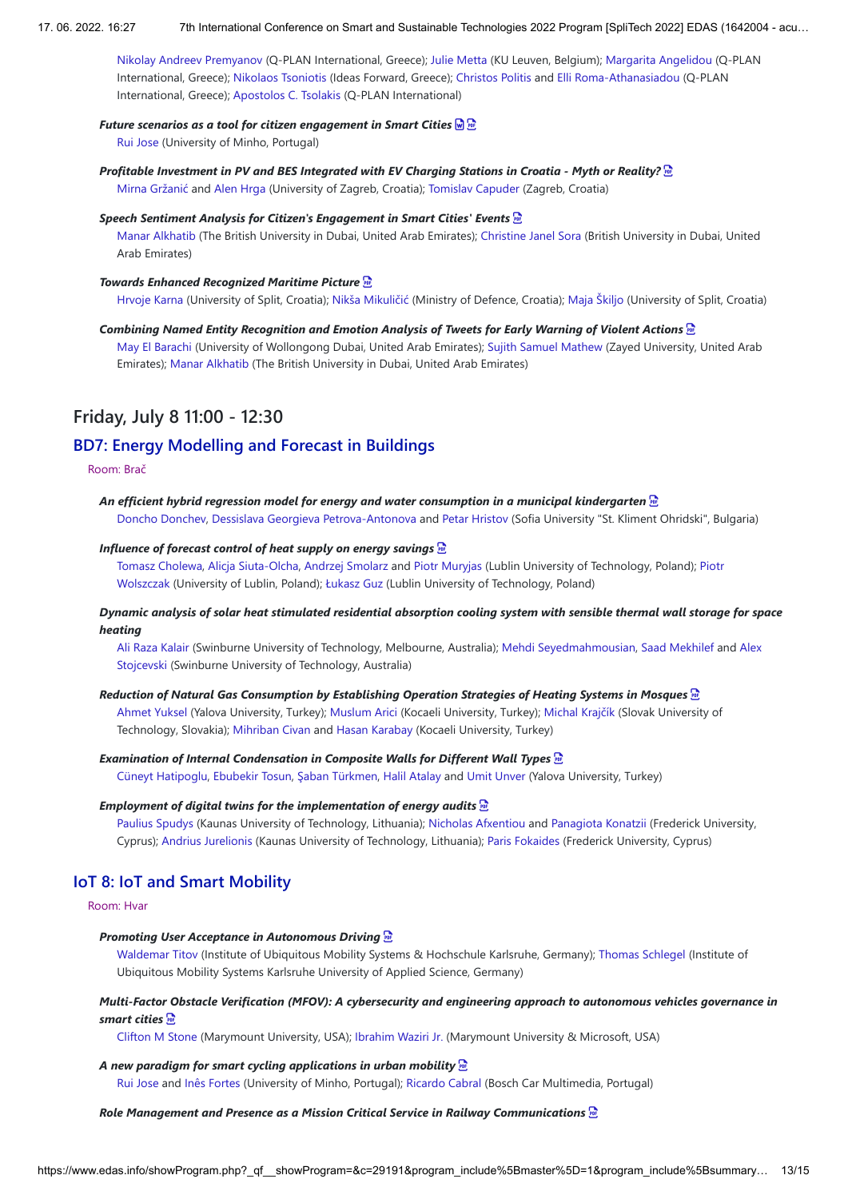Nikolay Andreev Premyanov (Q-PLAN International, Greece); Julie Metta (KU Leuven, Belgium); Margarita Angelidou (Q-PLAN International, Greece); Nikolaos Tsoniotis (Ideas Forward, Greece); Christos Politis and Elli Roma-Athanasiadou (Q-PLAN International, Greece); Apostolos C. Tsolakis (Q-PLAN International)

#### *Future scenarios as a tool for citizen engagement in Smart Cities*

Rui Jose (University of Minho, Portugal)

## *Profitable Investment in PV and BES Integrated with EV Charging Stations in Croatia - Myth or Reality?*

Mirna Gržanić and Alen Hrga (University of Zagreb, Croatia); Tomislav Capuder (Zagreb, Croatia)

## *Speech Sentiment Analysis for Citizen's Engagement in Smart Cities' Events*

Manar Alkhatib (The British University in Dubai, United Arab Emirates); Christine Janel Sora (British University in Dubai, United Arab Emirates)

#### *Towards Enhanced Recognized Maritime Picture*

Hrvoje Karna (University of Split, Croatia); Nikša Mikuličić (Ministry of Defence, Croatia); Maja Škiljo (University of Split, Croatia)

#### *Combining Named Entity Recognition and Emotion Analysis of Tweets for Early Warning of Violent Actions*

May El Barachi (University of Wollongong Dubai, United Arab Emirates); Sujith Samuel Mathew (Zayed University, United Arab Emirates); Manar Alkhatib (The British University in Dubai, United Arab Emirates)

# **Friday, July 8 11:00 - 12:30**

# **BD7: Energy Modelling and Forecast in Buildings**

#### Room: Brač

*An efficient hybrid regression model for energy and water consumption in a municipal kindergarten*  Doncho Donchev, Dessislava Georgieva Petrova-Antonova and Petar Hristov (Sofia University "St. Kliment Ohridski", Bulgaria)

#### *Influence of forecast control of heat supply on energy savings*

Tomasz Cholewa, Alicja Siuta-Olcha, Andrzej Smolarz and Piotr Muryjas (Lublin University of Technology, Poland); Piotr Wolszczak (University of Lublin, Poland); Łukasz Guz (Lublin University of Technology, Poland)

## *Dynamic analysis of solar heat stimulated residential absorption cooling system with sensible thermal wall storage for space heating*

Ali Raza Kalair (Swinburne University of Technology, Melbourne, Australia); Mehdi Seyedmahmousian, Saad Mekhilef and Alex Stojcevski (Swinburne University of Technology, Australia)

#### *Reduction of Natural Gas Consumption by Establishing Operation Strategies of Heating Systems in Mosques*

Ahmet Yuksel (Yalova University, Turkey); Muslum Arici (Kocaeli University, Turkey); Michal Krajčík (Slovak University of Technology, Slovakia); Mihriban Civan and Hasan Karabay (Kocaeli University, Turkey)

## *Examination of Internal Condensation in Composite Walls for Different Wall Types*

Cüneyt Hatipoglu, Ebubekir Tosun, Şaban Türkmen, Halil Atalay and Umit Unver (Yalova University, Turkey)

#### *Employment of digital twins for the implementation of energy audits*

Paulius Spudys (Kaunas University of Technology, Lithuania); Nicholas Afxentiou and Panagiota Konatzii (Frederick University, Cyprus); Andrius Jurelionis (Kaunas University of Technology, Lithuania); Paris Fokaides (Frederick University, Cyprus)

## **IoT 8: IoT and Smart Mobility**

#### Room: Hvar

#### *Promoting User Acceptance in Autonomous Driving*

Waldemar Titov (Institute of Ubiquitous Mobility Systems & Hochschule Karlsruhe, Germany); Thomas Schlegel (Institute of Ubiquitous Mobility Systems Karlsruhe University of Applied Science, Germany)

## *Multi-Factor Obstacle Verification (MFOV): A cybersecurity and engineering approach to autonomous vehicles governance in smart cities*

Clifton M Stone (Marymount University, USA); Ibrahim Waziri Jr. (Marymount University & Microsoft, USA)

### *A new paradigm for smart cycling applications in urban mobility*

Rui Jose and Inês Fortes (University of Minho, Portugal); Ricardo Cabral (Bosch Car Multimedia, Portugal)

## *Role Management and Presence as a Mission Critical Service in Railway Communications*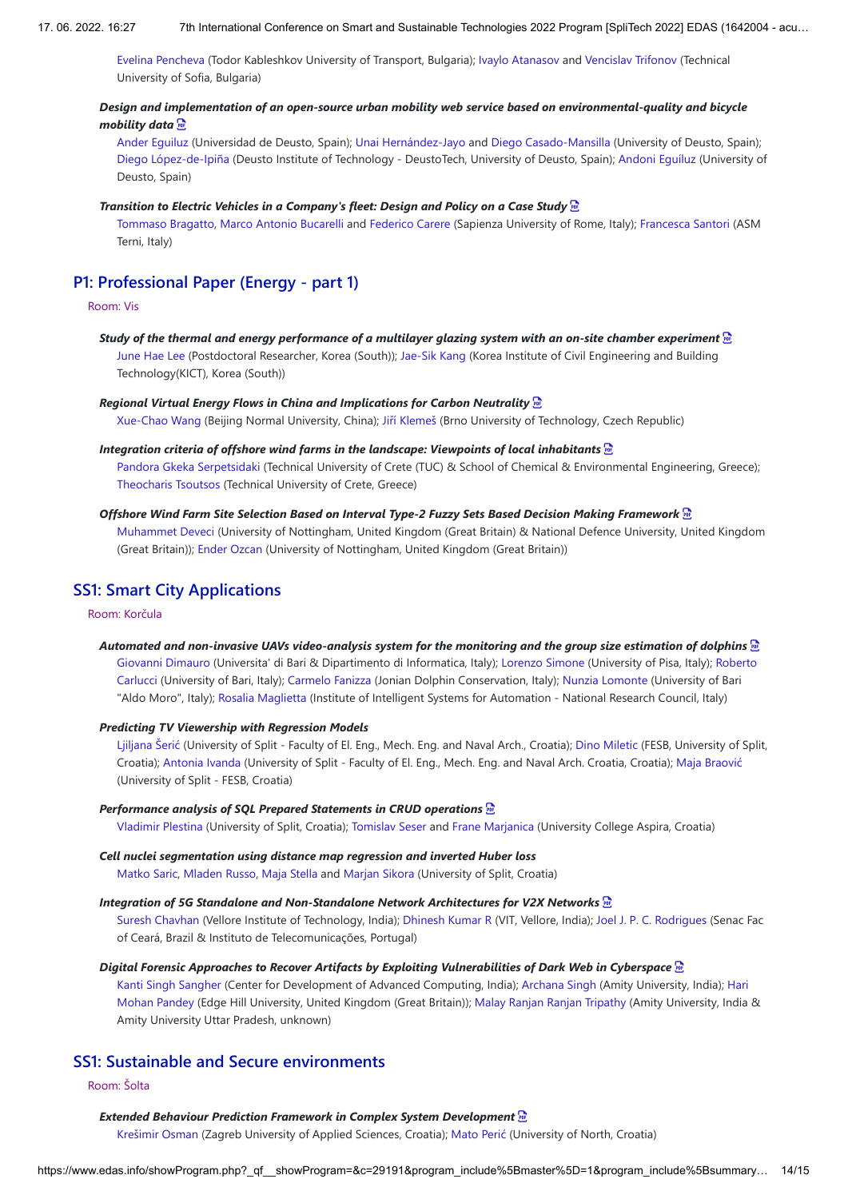Evelina Pencheva (Todor Kableshkov University of Transport, Bulgaria); Ivaylo Atanasov and Vencislav Trifonov (Technical University of Sofia, Bulgaria)

## *Design and implementation of an open-source urban mobility web service based on environmental-quality and bicycle mobility data*

Ander Eguiluz (Universidad de Deusto, Spain); Unai Hernández-Jayo and Diego Casado-Mansilla (University of Deusto, Spain); Diego López-de-Ipiña (Deusto Institute of Technology - DeustoTech, University of Deusto, Spain); Andoni Eguíluz (University of Deusto, Spain)

#### *Transition to Electric Vehicles in a Company's fleet: Design and Policy on a Case Study*

Tommaso Bragatto, Marco Antonio Bucarelli and Federico Carere (Sapienza University of Rome, Italy); Francesca Santori (ASM Terni, Italy)

# **P1: Professional Paper (Energy - part 1)**

#### Room: Vis

## *Study of the thermal and energy performance of a multilayer glazing system with an on-site chamber experiment*

June Hae Lee (Postdoctoral Researcher, Korea (South)); Jae-Sik Kang (Korea Institute of Civil Engineering and Building Technology(KICT), Korea (South))

#### *Regional Virtual Energy Flows in China and Implications for Carbon Neutrality*

Xue-Chao Wang (Beijing Normal University, China); Jiří Klemeš (Brno University of Technology, Czech Republic)

#### *Integration criteria of offshore wind farms in the landscape: Viewpoints of local inhabitants*

Pandora Gkeka Serpetsidaki (Technical University of Crete (TUC) & School of Chemical & Environmental Engineering, Greece); Theocharis Tsoutsos (Technical University of Crete, Greece)

#### *Offshore Wind Farm Site Selection Based on Interval Type-2 Fuzzy Sets Based Decision Making Framework*

Muhammet Deveci (University of Nottingham, United Kingdom (Great Britain) & National Defence University, United Kingdom (Great Britain)); Ender Ozcan (University of Nottingham, United Kingdom (Great Britain))

# **SS1: Smart City Applications**

## Room: Korčula

#### *Automated and non-invasive UAVs video-analysis system for the monitoring and the group size estimation of dolphins*

Giovanni Dimauro (Universita' di Bari & Dipartimento di Informatica, Italy); Lorenzo Simone (University of Pisa, Italy); Roberto Carlucci (University of Bari, Italy); Carmelo Fanizza (Jonian Dolphin Conservation, Italy); Nunzia Lomonte (University of Bari "Aldo Moro", Italy); Rosalia Maglietta (Institute of Intelligent Systems for Automation - National Research Council, Italy)

### *Predicting TV Viewership with Regression Models*

Ljiljana Šerić (University of Split - Faculty of El. Eng., Mech. Eng. and Naval Arch., Croatia); Dino Miletic (FESB, University of Split, Croatia); Antonia Ivanda (University of Split - Faculty of El. Eng., Mech. Eng. and Naval Arch. Croatia, Croatia); Maja Braović (University of Split - FESB, Croatia)

#### *Performance analysis of SQL Prepared Statements in CRUD operations*

Vladimir Plestina (University of Split, Croatia); Tomislav Seser and Frane Marjanica (University College Aspira, Croatia)

## *Cell nuclei segmentation using distance map regression and inverted Huber loss* Matko Saric, Mladen Russo, Maja Stella and Marjan Sikora (University of Split, Croatia)

#### *Integration of 5G Standalone and Non-Standalone Network Architectures for V2X Networks*

Suresh Chavhan (Vellore Institute of Technology, India); Dhinesh Kumar R (VIT, Vellore, India); Joel J. P. C. Rodrigues (Senac Fac of Ceará, Brazil & Instituto de Telecomunicações, Portugal)

#### *Digital Forensic Approaches to Recover Artifacts by Exploiting Vulnerabilities of Dark Web in Cyberspace*

Kanti Singh Sangher (Center for Development of Advanced Computing, India); Archana Singh (Amity University, India); Hari Mohan Pandey (Edge Hill University, United Kingdom (Great Britain)); Malay Ranjan Ranjan Tripathy (Amity University, India & Amity University Uttar Pradesh, unknown)

# **SS1: Sustainable and Secure environments**

## Room: Šolta

#### *Extended Behaviour Prediction Framework in Complex System Development*

Krešimir Osman (Zagreb University of Applied Sciences, Croatia); Mato Perić (University of North, Croatia)